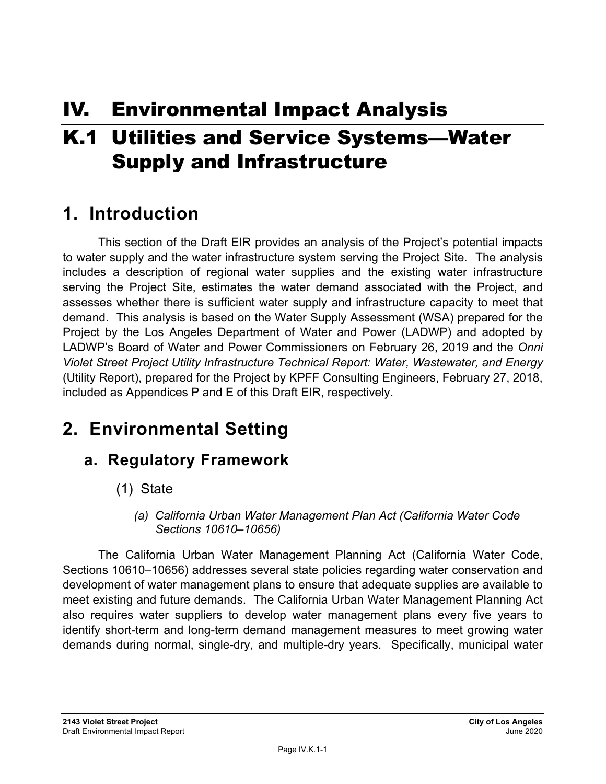# IV. Environmental Impact Analysis

# K.1 Utilities and Service Systems—Water Supply and Infrastructure

## **1. Introduction**

This section of the Draft EIR provides an analysis of the Project's potential impacts to water supply and the water infrastructure system serving the Project Site. The analysis includes a description of regional water supplies and the existing water infrastructure serving the Project Site, estimates the water demand associated with the Project, and assesses whether there is sufficient water supply and infrastructure capacity to meet that demand. This analysis is based on the Water Supply Assessment (WSA) prepared for the Project by the Los Angeles Department of Water and Power (LADWP) and adopted by LADWP's Board of Water and Power Commissioners on February 26, 2019 and the *Onni Violet Street Project Utility Infrastructure Technical Report: Water, Wastewater, and Energy* (Utility Report), prepared for the Project by KPFF Consulting Engineers, February 27, 2018, included as Appendices P and E of this Draft EIR, respectively.

# **2. Environmental Setting**

## **a. Regulatory Framework**

- (1) State
	- *(a) California Urban Water Management Plan Act (California Water Code Sections 10610–10656)*

The California Urban Water Management Planning Act (California Water Code, Sections 10610–10656) addresses several state policies regarding water conservation and development of water management plans to ensure that adequate supplies are available to meet existing and future demands. The California Urban Water Management Planning Act also requires water suppliers to develop water management plans every five years to identify short-term and long-term demand management measures to meet growing water demands during normal, single-dry, and multiple-dry years. Specifically, municipal water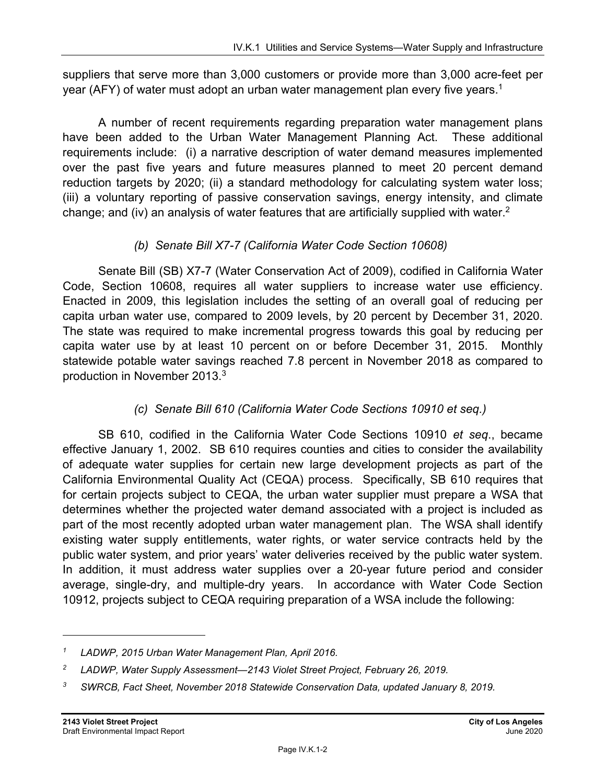suppliers that serve more than 3,000 customers or provide more than 3,000 acre-feet per year (AFY) of water must adopt an urban water management plan every five years.<sup>1</sup>

A number of recent requirements regarding preparation water management plans have been added to the Urban Water Management Planning Act. These additional requirements include: (i) a narrative description of water demand measures implemented over the past five years and future measures planned to meet 20 percent demand reduction targets by 2020; (ii) a standard methodology for calculating system water loss; (iii) a voluntary reporting of passive conservation savings, energy intensity, and climate change; and (iv) an analysis of water features that are artificially supplied with water.<sup>2</sup>

#### *(b) Senate Bill X7-7 (California Water Code Section 10608)*

Senate Bill (SB) X7-7 (Water Conservation Act of 2009), codified in California Water Code, Section 10608, requires all water suppliers to increase water use efficiency. Enacted in 2009, this legislation includes the setting of an overall goal of reducing per capita urban water use, compared to 2009 levels, by 20 percent by December 31, 2020. The state was required to make incremental progress towards this goal by reducing per capita water use by at least 10 percent on or before December 31, 2015. Monthly statewide potable water savings reached 7.8 percent in November 2018 as compared to production in November 2013.3

### *(c) Senate Bill 610 (California Water Code Sections 10910 et seq.)*

SB 610, codified in the California Water Code Sections 10910 *et seq*., became effective January 1, 2002. SB 610 requires counties and cities to consider the availability of adequate water supplies for certain new large development projects as part of the California Environmental Quality Act (CEQA) process. Specifically, SB 610 requires that for certain projects subject to CEQA, the urban water supplier must prepare a WSA that determines whether the projected water demand associated with a project is included as part of the most recently adopted urban water management plan. The WSA shall identify existing water supply entitlements, water rights, or water service contracts held by the public water system, and prior years' water deliveries received by the public water system. In addition, it must address water supplies over a 20-year future period and consider average, single-dry, and multiple-dry years. In accordance with Water Code Section 10912, projects subject to CEQA requiring preparation of a WSA include the following:

*<sup>1</sup> LADWP, 2015 Urban Water Management Plan, April 2016.* 

*<sup>2</sup> LADWP, Water Supply Assessment—2143 Violet Street Project, February 26, 2019.* 

*<sup>3</sup> SWRCB, Fact Sheet, November 2018 Statewide Conservation Data, updated January 8, 2019.*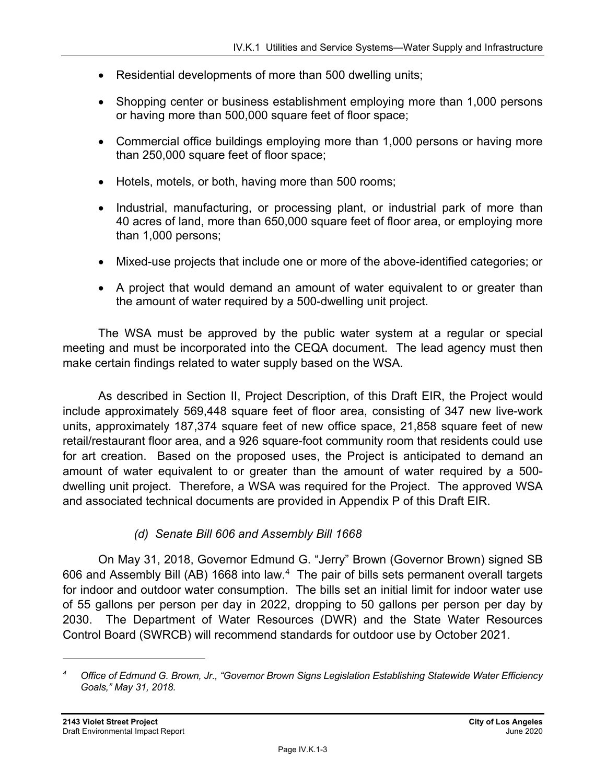- Residential developments of more than 500 dwelling units;
- Shopping center or business establishment employing more than 1,000 persons or having more than 500,000 square feet of floor space;
- Commercial office buildings employing more than 1,000 persons or having more than 250,000 square feet of floor space;
- Hotels, motels, or both, having more than 500 rooms;
- Industrial, manufacturing, or processing plant, or industrial park of more than 40 acres of land, more than 650,000 square feet of floor area, or employing more than 1,000 persons;
- Mixed-use projects that include one or more of the above-identified categories; or
- A project that would demand an amount of water equivalent to or greater than the amount of water required by a 500-dwelling unit project.

The WSA must be approved by the public water system at a regular or special meeting and must be incorporated into the CEQA document. The lead agency must then make certain findings related to water supply based on the WSA.

As described in Section II, Project Description, of this Draft EIR, the Project would include approximately 569,448 square feet of floor area, consisting of 347 new live-work units, approximately 187,374 square feet of new office space, 21,858 square feet of new retail/restaurant floor area, and a 926 square-foot community room that residents could use for art creation. Based on the proposed uses, the Project is anticipated to demand an amount of water equivalent to or greater than the amount of water required by a 500 dwelling unit project. Therefore, a WSA was required for the Project. The approved WSA and associated technical documents are provided in Appendix P of this Draft EIR.

#### *(d) Senate Bill 606 and Assembly Bill 1668*

On May 31, 2018, Governor Edmund G. "Jerry" Brown (Governor Brown) signed SB 606 and Assembly Bill (AB) 1668 into law.4 The pair of bills sets permanent overall targets for indoor and outdoor water consumption. The bills set an initial limit for indoor water use of 55 gallons per person per day in 2022, dropping to 50 gallons per person per day by 2030. The Department of Water Resources (DWR) and the State Water Resources Control Board (SWRCB) will recommend standards for outdoor use by October 2021.

*<sup>4</sup> Office of Edmund G. Brown, Jr., "Governor Brown Signs Legislation Establishing Statewide Water Efficiency Goals," May 31, 2018.*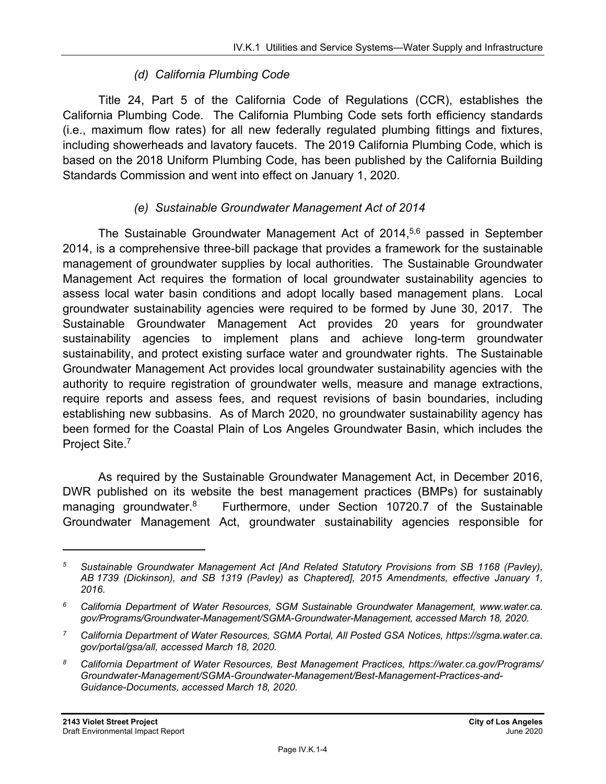#### *(d) California Plumbing Code*

Title 24, Part 5 of the California Code of Regulations (CCR), establishes the California Plumbing Code. The California Plumbing Code sets forth efficiency standards (i.e., maximum flow rates) for all new federally regulated plumbing fittings and fixtures, including showerheads and lavatory faucets. The 2019 California Plumbing Code, which is based on the 2018 Uniform Plumbing Code, has been published by the California Building Standards Commission and went into effect on January 1, 2020.

#### *(e) Sustainable Groundwater Management Act of 2014*

The Sustainable Groundwater Management Act of 2014,<sup>5,6</sup> passed in September 2014, is a comprehensive three-bill package that provides a framework for the sustainable management of groundwater supplies by local authorities. The Sustainable Groundwater Management Act requires the formation of local groundwater sustainability agencies to assess local water basin conditions and adopt locally based management plans. Local groundwater sustainability agencies were required to be formed by June 30, 2017. The Sustainable Groundwater Management Act provides 20 years for groundwater sustainability agencies to implement plans and achieve long-term groundwater sustainability, and protect existing surface water and groundwater rights. The Sustainable Groundwater Management Act provides local groundwater sustainability agencies with the authority to require registration of groundwater wells, measure and manage extractions, require reports and assess fees, and request revisions of basin boundaries, including establishing new subbasins. As of March 2020, no groundwater sustainability agency has been formed for the Coastal Plain of Los Angeles Groundwater Basin, which includes the Project Site.7

As required by the Sustainable Groundwater Management Act, in December 2016, DWR published on its website the best management practices (BMPs) for sustainably managing groundwater.<sup>8</sup> Furthermore, under Section 10720.7 of the Sustainable Groundwater Management Act, groundwater sustainability agencies responsible for

*<sup>5</sup> Sustainable Groundwater Management Act [And Related Statutory Provisions from SB 1168 (Pavley), AB 1739 (Dickinson), and SB 1319 (Pavley) as Chaptered], 2015 Amendments, effective January 1, 2016.* 

*<sup>6</sup> California Department of Water Resources, SGM Sustainable Groundwater Management, www.water.ca. gov/Programs/Groundwater-Management/SGMA-Groundwater-Management, accessed March 18, 2020.* 

*<sup>7</sup> California Department of Water Resources, SGMA Portal, All Posted GSA Notices, https://sgma.water.ca. gov/portal/gsa/all, accessed March 18, 2020.* 

*<sup>8</sup> California Department of Water Resources, Best Management Practices, https://water.ca.gov/Programs/ Groundwater-Management/SGMA-Groundwater-Management/Best-Management-Practices-and-Guidance-Documents, accessed March 18, 2020.*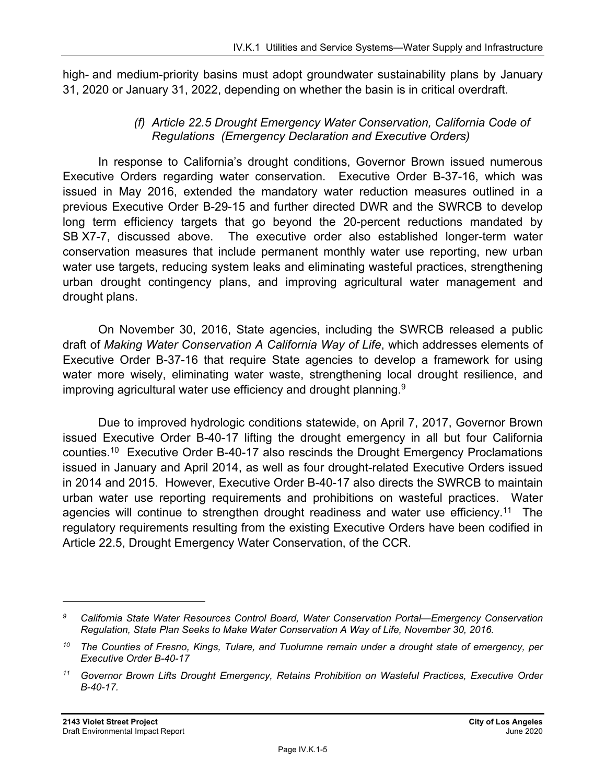high- and medium-priority basins must adopt groundwater sustainability plans by January 31, 2020 or January 31, 2022, depending on whether the basin is in critical overdraft.

#### *(f) Article 22.5 Drought Emergency Water Conservation, California Code of Regulations (Emergency Declaration and Executive Orders)*

In response to California's drought conditions, Governor Brown issued numerous Executive Orders regarding water conservation. Executive Order B-37-16, which was issued in May 2016, extended the mandatory water reduction measures outlined in a previous Executive Order B-29-15 and further directed DWR and the SWRCB to develop long term efficiency targets that go beyond the 20-percent reductions mandated by SB X7-7, discussed above. The executive order also established longer-term water conservation measures that include permanent monthly water use reporting, new urban water use targets, reducing system leaks and eliminating wasteful practices, strengthening urban drought contingency plans, and improving agricultural water management and drought plans.

On November 30, 2016, State agencies, including the SWRCB released a public draft of *Making Water Conservation A California Way of Life*, which addresses elements of Executive Order B-37-16 that require State agencies to develop a framework for using water more wisely, eliminating water waste, strengthening local drought resilience, and improving agricultural water use efficiency and drought planning. $9$ 

Due to improved hydrologic conditions statewide, on April 7, 2017, Governor Brown issued Executive Order B-40-17 lifting the drought emergency in all but four California counties.10 Executive Order B-40-17 also rescinds the Drought Emergency Proclamations issued in January and April 2014, as well as four drought-related Executive Orders issued in 2014 and 2015. However, Executive Order B-40-17 also directs the SWRCB to maintain urban water use reporting requirements and prohibitions on wasteful practices. Water agencies will continue to strengthen drought readiness and water use efficiency.<sup>11</sup> The regulatory requirements resulting from the existing Executive Orders have been codified in Article 22.5, Drought Emergency Water Conservation, of the CCR.

*<sup>9</sup> California State Water Resources Control Board, Water Conservation Portal—Emergency Conservation Regulation, State Plan Seeks to Make Water Conservation A Way of Life, November 30, 2016.* 

*<sup>10</sup> The Counties of Fresno, Kings, Tulare, and Tuolumne remain under a drought state of emergency, per Executive Order B-40-17* 

*<sup>11</sup> Governor Brown Lifts Drought Emergency, Retains Prohibition on Wasteful Practices, Executive Order B-40-17.*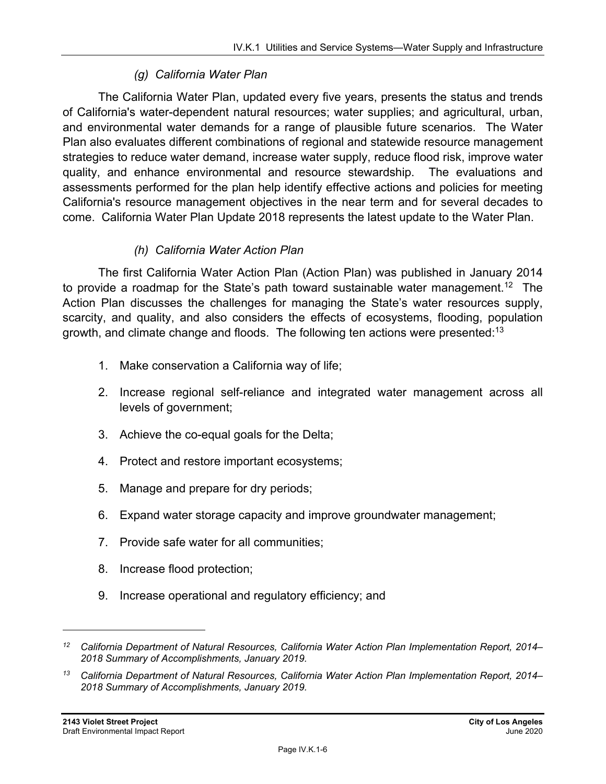#### *(g) California Water Plan*

The California Water Plan, updated every five years, presents the status and trends of California's water-dependent natural resources; water supplies; and agricultural, urban, and environmental water demands for a range of plausible future scenarios. The Water Plan also evaluates different combinations of regional and statewide resource management strategies to reduce water demand, increase water supply, reduce flood risk, improve water quality, and enhance environmental and resource stewardship. The evaluations and assessments performed for the plan help identify effective actions and policies for meeting California's resource management objectives in the near term and for several decades to come. California Water Plan Update 2018 represents the latest update to the Water Plan.

#### *(h) California Water Action Plan*

The first California Water Action Plan (Action Plan) was published in January 2014 to provide a roadmap for the State's path toward sustainable water management.<sup>12</sup> The Action Plan discusses the challenges for managing the State's water resources supply, scarcity, and quality, and also considers the effects of ecosystems, flooding, population growth, and climate change and floods. The following ten actions were presented: $13$ 

- 1. Make conservation a California way of life;
- 2. Increase regional self-reliance and integrated water management across all levels of government;
- 3. Achieve the co-equal goals for the Delta;
- 4. Protect and restore important ecosystems;
- 5. Manage and prepare for dry periods;
- 6. Expand water storage capacity and improve groundwater management;
- 7. Provide safe water for all communities;
- 8. Increase flood protection;
- 9. Increase operational and regulatory efficiency; and

*<sup>12</sup> California Department of Natural Resources, California Water Action Plan Implementation Report, 2014– 2018 Summary of Accomplishments, January 2019.* 

*<sup>13</sup> California Department of Natural Resources, California Water Action Plan Implementation Report, 2014– 2018 Summary of Accomplishments, January 2019.*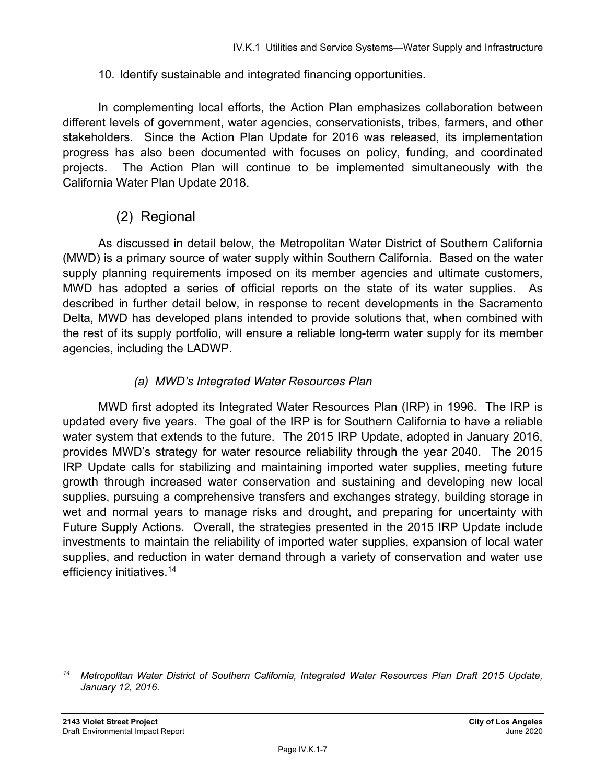#### 10. Identify sustainable and integrated financing opportunities.

In complementing local efforts, the Action Plan emphasizes collaboration between different levels of government, water agencies, conservationists, tribes, farmers, and other stakeholders. Since the Action Plan Update for 2016 was released, its implementation progress has also been documented with focuses on policy, funding, and coordinated projects. The Action Plan will continue to be implemented simultaneously with the California Water Plan Update 2018.

### (2) Regional

As discussed in detail below, the Metropolitan Water District of Southern California (MWD) is a primary source of water supply within Southern California. Based on the water supply planning requirements imposed on its member agencies and ultimate customers, MWD has adopted a series of official reports on the state of its water supplies. As described in further detail below, in response to recent developments in the Sacramento Delta, MWD has developed plans intended to provide solutions that, when combined with the rest of its supply portfolio, will ensure a reliable long-term water supply for its member agencies, including the LADWP.

#### *(a) MWD's Integrated Water Resources Plan*

MWD first adopted its Integrated Water Resources Plan (IRP) in 1996. The IRP is updated every five years. The goal of the IRP is for Southern California to have a reliable water system that extends to the future. The 2015 IRP Update, adopted in January 2016, provides MWD's strategy for water resource reliability through the year 2040. The 2015 IRP Update calls for stabilizing and maintaining imported water supplies, meeting future growth through increased water conservation and sustaining and developing new local supplies, pursuing a comprehensive transfers and exchanges strategy, building storage in wet and normal years to manage risks and drought, and preparing for uncertainty with Future Supply Actions. Overall, the strategies presented in the 2015 IRP Update include investments to maintain the reliability of imported water supplies, expansion of local water supplies, and reduction in water demand through a variety of conservation and water use efficiency initiatives.14

*<sup>14</sup> Metropolitan Water District of Southern California, Integrated Water Resources Plan Draft 2015 Update, January 12, 2016.*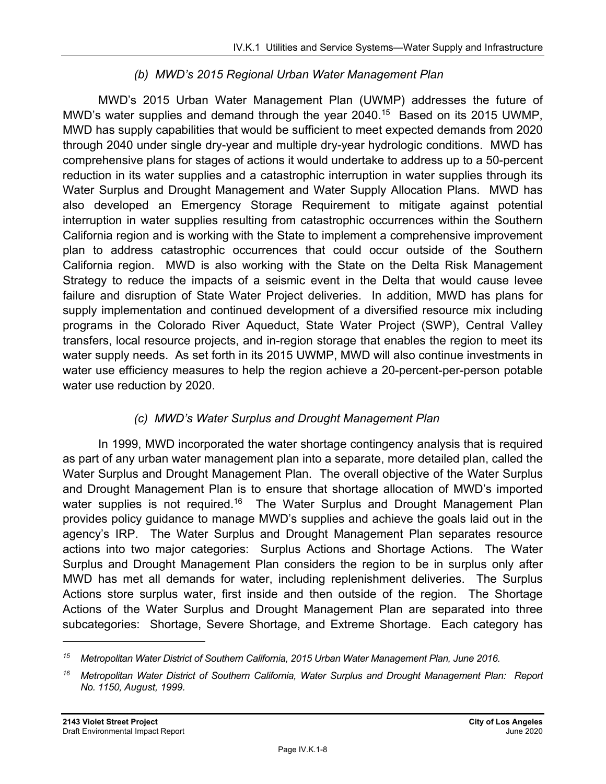#### *(b) MWD's 2015 Regional Urban Water Management Plan*

MWD's 2015 Urban Water Management Plan (UWMP) addresses the future of MWD's water supplies and demand through the year 2040.<sup>15</sup> Based on its 2015 UWMP, MWD has supply capabilities that would be sufficient to meet expected demands from 2020 through 2040 under single dry-year and multiple dry-year hydrologic conditions. MWD has comprehensive plans for stages of actions it would undertake to address up to a 50-percent reduction in its water supplies and a catastrophic interruption in water supplies through its Water Surplus and Drought Management and Water Supply Allocation Plans. MWD has also developed an Emergency Storage Requirement to mitigate against potential interruption in water supplies resulting from catastrophic occurrences within the Southern California region and is working with the State to implement a comprehensive improvement plan to address catastrophic occurrences that could occur outside of the Southern California region. MWD is also working with the State on the Delta Risk Management Strategy to reduce the impacts of a seismic event in the Delta that would cause levee failure and disruption of State Water Project deliveries. In addition, MWD has plans for supply implementation and continued development of a diversified resource mix including programs in the Colorado River Aqueduct, State Water Project (SWP), Central Valley transfers, local resource projects, and in-region storage that enables the region to meet its water supply needs. As set forth in its 2015 UWMP, MWD will also continue investments in water use efficiency measures to help the region achieve a 20-percent-per-person potable water use reduction by 2020.

#### *(c) MWD's Water Surplus and Drought Management Plan*

In 1999, MWD incorporated the water shortage contingency analysis that is required as part of any urban water management plan into a separate, more detailed plan, called the Water Surplus and Drought Management Plan. The overall objective of the Water Surplus and Drought Management Plan is to ensure that shortage allocation of MWD's imported water supplies is not required.<sup>16</sup> The Water Surplus and Drought Management Plan provides policy guidance to manage MWD's supplies and achieve the goals laid out in the agency's IRP. The Water Surplus and Drought Management Plan separates resource actions into two major categories: Surplus Actions and Shortage Actions. The Water Surplus and Drought Management Plan considers the region to be in surplus only after MWD has met all demands for water, including replenishment deliveries. The Surplus Actions store surplus water, first inside and then outside of the region. The Shortage Actions of the Water Surplus and Drought Management Plan are separated into three subcategories: Shortage, Severe Shortage, and Extreme Shortage. Each category has

*<sup>15</sup> Metropolitan Water District of Southern California, 2015 Urban Water Management Plan, June 2016.* 

*<sup>16</sup> Metropolitan Water District of Southern California, Water Surplus and Drought Management Plan: Report No. 1150, August, 1999.*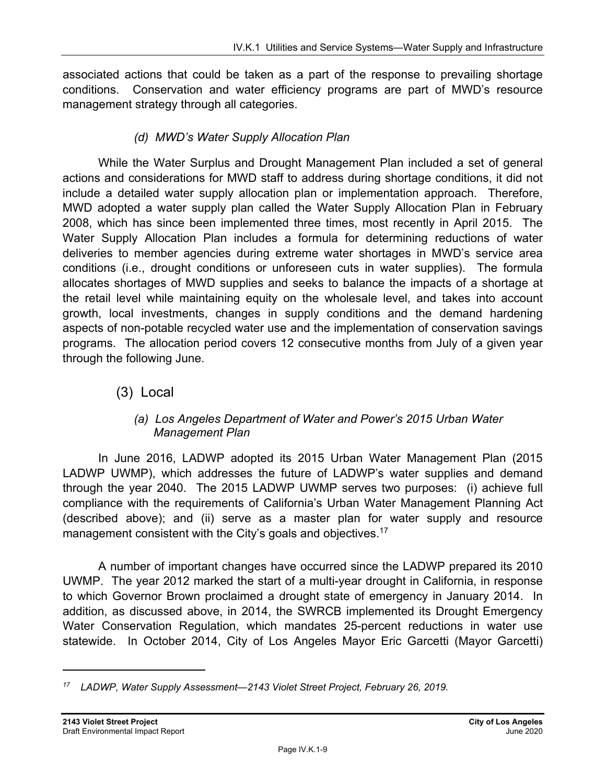associated actions that could be taken as a part of the response to prevailing shortage conditions. Conservation and water efficiency programs are part of MWD's resource management strategy through all categories.

#### *(d) MWD's Water Supply Allocation Plan*

While the Water Surplus and Drought Management Plan included a set of general actions and considerations for MWD staff to address during shortage conditions, it did not include a detailed water supply allocation plan or implementation approach. Therefore, MWD adopted a water supply plan called the Water Supply Allocation Plan in February 2008, which has since been implemented three times, most recently in April 2015. The Water Supply Allocation Plan includes a formula for determining reductions of water deliveries to member agencies during extreme water shortages in MWD's service area conditions (i.e., drought conditions or unforeseen cuts in water supplies). The formula allocates shortages of MWD supplies and seeks to balance the impacts of a shortage at the retail level while maintaining equity on the wholesale level, and takes into account growth, local investments, changes in supply conditions and the demand hardening aspects of non-potable recycled water use and the implementation of conservation savings programs. The allocation period covers 12 consecutive months from July of a given year through the following June.

### (3) Local

#### *(a) Los Angeles Department of Water and Power's 2015 Urban Water Management Plan*

In June 2016, LADWP adopted its 2015 Urban Water Management Plan (2015 LADWP UWMP), which addresses the future of LADWP's water supplies and demand through the year 2040. The 2015 LADWP UWMP serves two purposes: (i) achieve full compliance with the requirements of California's Urban Water Management Planning Act (described above); and (ii) serve as a master plan for water supply and resource management consistent with the City's goals and objectives.<sup>17</sup>

A number of important changes have occurred since the LADWP prepared its 2010 UWMP. The year 2012 marked the start of a multi-year drought in California, in response to which Governor Brown proclaimed a drought state of emergency in January 2014. In addition, as discussed above, in 2014, the SWRCB implemented its Drought Emergency Water Conservation Regulation, which mandates 25-percent reductions in water use statewide. In October 2014, City of Los Angeles Mayor Eric Garcetti (Mayor Garcetti)

*<sup>17</sup> LADWP, Water Supply Assessment—2143 Violet Street Project, February 26, 2019.*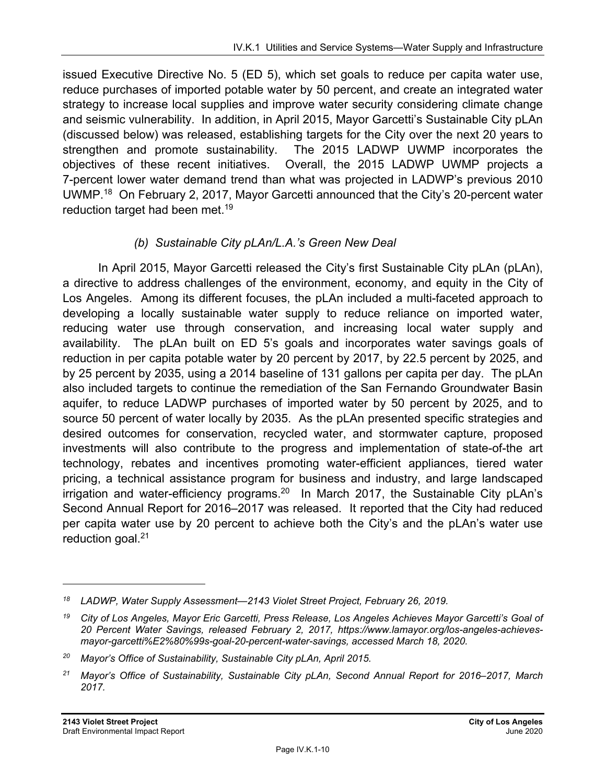issued Executive Directive No. 5 (ED 5), which set goals to reduce per capita water use, reduce purchases of imported potable water by 50 percent, and create an integrated water strategy to increase local supplies and improve water security considering climate change and seismic vulnerability. In addition, in April 2015, Mayor Garcetti's Sustainable City pLAn (discussed below) was released, establishing targets for the City over the next 20 years to strengthen and promote sustainability. The 2015 LADWP UWMP incorporates the objectives of these recent initiatives. Overall, the 2015 LADWP UWMP projects a 7-percent lower water demand trend than what was projected in LADWP's previous 2010 UWMP.<sup>18</sup> On February 2, 2017, Mayor Garcetti announced that the City's 20-percent water reduction target had been met.<sup>19</sup>

#### *(b) Sustainable City pLAn/L.A.'s Green New Deal*

In April 2015, Mayor Garcetti released the City's first Sustainable City pLAn (pLAn), a directive to address challenges of the environment, economy, and equity in the City of Los Angeles. Among its different focuses, the pLAn included a multi-faceted approach to developing a locally sustainable water supply to reduce reliance on imported water, reducing water use through conservation, and increasing local water supply and availability. The pLAn built on ED 5's goals and incorporates water savings goals of reduction in per capita potable water by 20 percent by 2017, by 22.5 percent by 2025, and by 25 percent by 2035, using a 2014 baseline of 131 gallons per capita per day. The pLAn also included targets to continue the remediation of the San Fernando Groundwater Basin aquifer, to reduce LADWP purchases of imported water by 50 percent by 2025, and to source 50 percent of water locally by 2035. As the pLAn presented specific strategies and desired outcomes for conservation, recycled water, and stormwater capture, proposed investments will also contribute to the progress and implementation of state-of-the art technology, rebates and incentives promoting water-efficient appliances, tiered water pricing, a technical assistance program for business and industry, and large landscaped irrigation and water-efficiency programs.<sup>20</sup> In March 2017, the Sustainable City pLAn's Second Annual Report for 2016–2017 was released. It reported that the City had reduced per capita water use by 20 percent to achieve both the City's and the pLAn's water use reduction goal.<sup>21</sup>

*<sup>18</sup> LADWP, Water Supply Assessment—2143 Violet Street Project, February 26, 2019.* 

*<sup>19</sup> City of Los Angeles, Mayor Eric Garcetti, Press Release, Los Angeles Achieves Mayor Garcetti's Goal of 20 Percent Water Savings, released February 2, 2017, https://www.lamayor.org/los-angeles-achievesmayor-garcetti%E2%80%99s-goal-20-percent-water-savings, accessed March 18, 2020.* 

*<sup>20</sup> Mayor's Office of Sustainability, Sustainable City pLAn, April 2015.* 

*<sup>21</sup> Mayor's Office of Sustainability, Sustainable City pLAn, Second Annual Report for 2016–2017, March 2017.*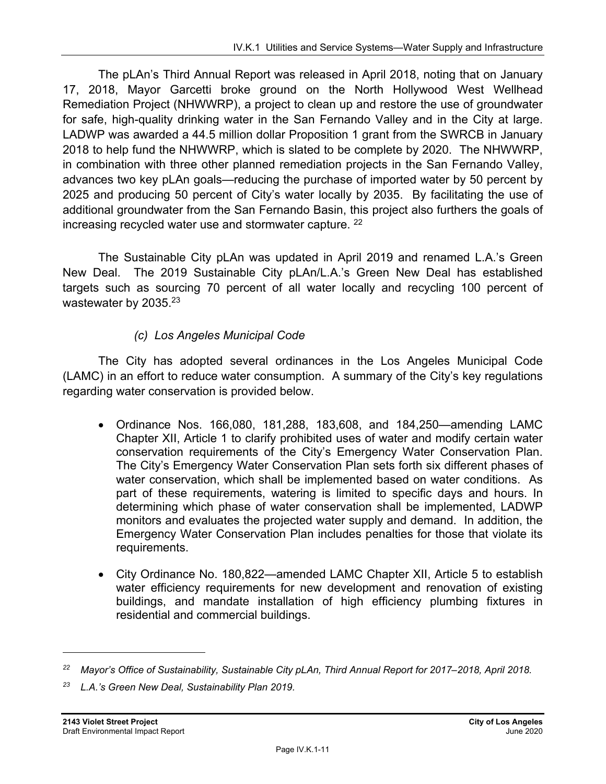The pLAn's Third Annual Report was released in April 2018, noting that on January 17, 2018, Mayor Garcetti broke ground on the North Hollywood West Wellhead Remediation Project (NHWWRP), a project to clean up and restore the use of groundwater for safe, high-quality drinking water in the San Fernando Valley and in the City at large. LADWP was awarded a 44.5 million dollar Proposition 1 grant from the SWRCB in January 2018 to help fund the NHWWRP, which is slated to be complete by 2020. The NHWWRP, in combination with three other planned remediation projects in the San Fernando Valley, advances two key pLAn goals—reducing the purchase of imported water by 50 percent by 2025 and producing 50 percent of City's water locally by 2035. By facilitating the use of additional groundwater from the San Fernando Basin, this project also furthers the goals of increasing recycled water use and stormwater capture. <sup>22</sup>

The Sustainable City pLAn was updated in April 2019 and renamed L.A.'s Green New Deal. The 2019 Sustainable City pLAn/L.A.'s Green New Deal has established targets such as sourcing 70 percent of all water locally and recycling 100 percent of wastewater by 2035.<sup>23</sup>

#### *(c) Los Angeles Municipal Code*

The City has adopted several ordinances in the Los Angeles Municipal Code (LAMC) in an effort to reduce water consumption. A summary of the City's key regulations regarding water conservation is provided below.

- Ordinance Nos. 166,080, 181,288, 183,608, and 184,250—amending LAMC Chapter XII, Article 1 to clarify prohibited uses of water and modify certain water conservation requirements of the City's Emergency Water Conservation Plan. The City's Emergency Water Conservation Plan sets forth six different phases of water conservation, which shall be implemented based on water conditions. As part of these requirements, watering is limited to specific days and hours. In determining which phase of water conservation shall be implemented, LADWP monitors and evaluates the projected water supply and demand. In addition, the Emergency Water Conservation Plan includes penalties for those that violate its requirements.
- City Ordinance No. 180,822—amended LAMC Chapter XII, Article 5 to establish water efficiency requirements for new development and renovation of existing buildings, and mandate installation of high efficiency plumbing fixtures in residential and commercial buildings.

*<sup>22</sup> Mayor's Office of Sustainability, Sustainable City pLAn, Third Annual Report for 2017–2018, April 2018.* 

*<sup>23</sup> L.A.'s Green New Deal, Sustainability Plan 2019.*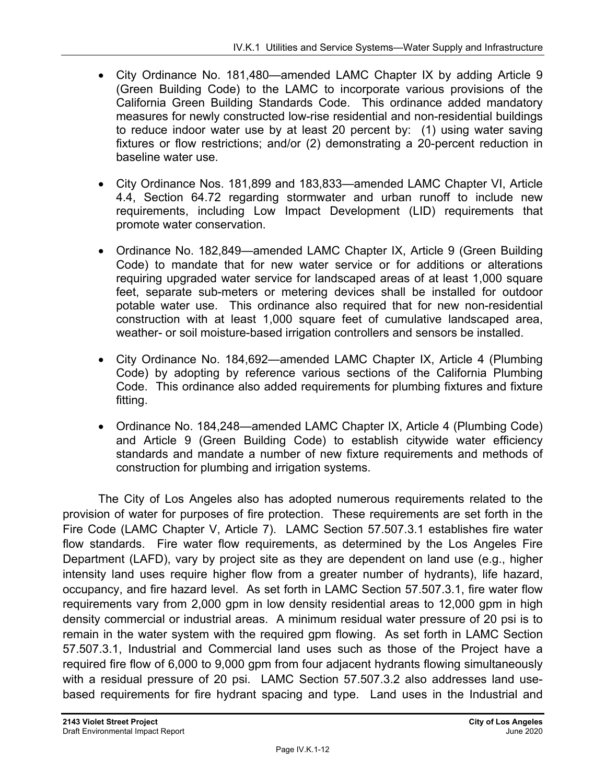- City Ordinance No. 181,480—amended LAMC Chapter IX by adding Article 9 (Green Building Code) to the LAMC to incorporate various provisions of the California Green Building Standards Code. This ordinance added mandatory measures for newly constructed low-rise residential and non-residential buildings to reduce indoor water use by at least 20 percent by: (1) using water saving fixtures or flow restrictions; and/or (2) demonstrating a 20-percent reduction in baseline water use.
- City Ordinance Nos. 181,899 and 183,833—amended LAMC Chapter VI, Article 4.4, Section 64.72 regarding stormwater and urban runoff to include new requirements, including Low Impact Development (LID) requirements that promote water conservation.
- Ordinance No. 182,849—amended LAMC Chapter IX, Article 9 (Green Building Code) to mandate that for new water service or for additions or alterations requiring upgraded water service for landscaped areas of at least 1,000 square feet, separate sub-meters or metering devices shall be installed for outdoor potable water use. This ordinance also required that for new non-residential construction with at least 1,000 square feet of cumulative landscaped area, weather- or soil moisture-based irrigation controllers and sensors be installed.
- City Ordinance No. 184,692—amended LAMC Chapter IX, Article 4 (Plumbing Code) by adopting by reference various sections of the California Plumbing Code. This ordinance also added requirements for plumbing fixtures and fixture fitting.
- Ordinance No. 184,248—amended LAMC Chapter IX, Article 4 (Plumbing Code) and Article 9 (Green Building Code) to establish citywide water efficiency standards and mandate a number of new fixture requirements and methods of construction for plumbing and irrigation systems.

The City of Los Angeles also has adopted numerous requirements related to the provision of water for purposes of fire protection. These requirements are set forth in the Fire Code (LAMC Chapter V, Article 7). LAMC Section 57.507.3.1 establishes fire water flow standards. Fire water flow requirements, as determined by the Los Angeles Fire Department (LAFD), vary by project site as they are dependent on land use (e.g., higher intensity land uses require higher flow from a greater number of hydrants), life hazard, occupancy, and fire hazard level. As set forth in LAMC Section 57.507.3.1, fire water flow requirements vary from 2,000 gpm in low density residential areas to 12,000 gpm in high density commercial or industrial areas. A minimum residual water pressure of 20 psi is to remain in the water system with the required gpm flowing. As set forth in LAMC Section 57.507.3.1, Industrial and Commercial land uses such as those of the Project have a required fire flow of 6,000 to 9,000 gpm from four adjacent hydrants flowing simultaneously with a residual pressure of 20 psi. LAMC Section 57.507.3.2 also addresses land usebased requirements for fire hydrant spacing and type. Land uses in the Industrial and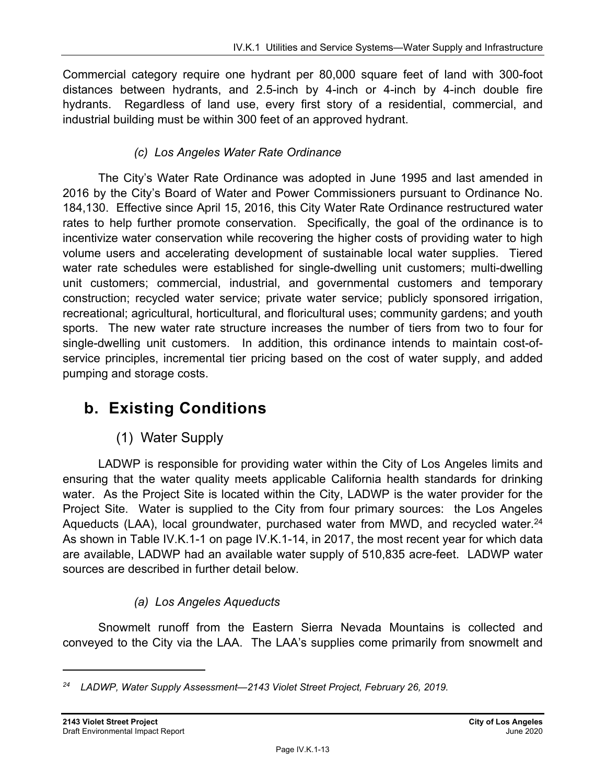Commercial category require one hydrant per 80,000 square feet of land with 300-foot distances between hydrants, and 2.5-inch by 4-inch or 4-inch by 4-inch double fire hydrants. Regardless of land use, every first story of a residential, commercial, and industrial building must be within 300 feet of an approved hydrant.

#### *(c) Los Angeles Water Rate Ordinance*

The City's Water Rate Ordinance was adopted in June 1995 and last amended in 2016 by the City's Board of Water and Power Commissioners pursuant to Ordinance No. 184,130. Effective since April 15, 2016, this City Water Rate Ordinance restructured water rates to help further promote conservation. Specifically, the goal of the ordinance is to incentivize water conservation while recovering the higher costs of providing water to high volume users and accelerating development of sustainable local water supplies. Tiered water rate schedules were established for single-dwelling unit customers; multi-dwelling unit customers; commercial, industrial, and governmental customers and temporary construction; recycled water service; private water service; publicly sponsored irrigation, recreational; agricultural, horticultural, and floricultural uses; community gardens; and youth sports. The new water rate structure increases the number of tiers from two to four for single-dwelling unit customers. In addition, this ordinance intends to maintain cost-ofservice principles, incremental tier pricing based on the cost of water supply, and added pumping and storage costs.

## **b. Existing Conditions**

### (1) Water Supply

LADWP is responsible for providing water within the City of Los Angeles limits and ensuring that the water quality meets applicable California health standards for drinking water. As the Project Site is located within the City, LADWP is the water provider for the Project Site. Water is supplied to the City from four primary sources: the Los Angeles Aqueducts (LAA), local groundwater, purchased water from MWD, and recycled water.  $24$ As shown in Table IV.K.1-1 on page IV.K.1-14, in 2017, the most recent year for which data are available, LADWP had an available water supply of 510,835 acre-feet. LADWP water sources are described in further detail below.

### *(a) Los Angeles Aqueducts*

Snowmelt runoff from the Eastern Sierra Nevada Mountains is collected and conveyed to the City via the LAA. The LAA's supplies come primarily from snowmelt and

*<sup>24</sup> LADWP, Water Supply Assessment—2143 Violet Street Project, February 26, 2019.*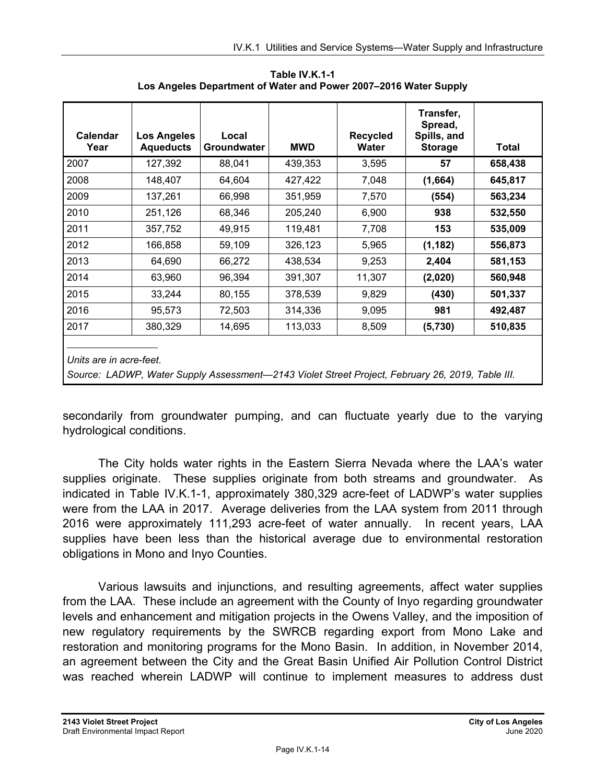| Calendar<br>Year        | <b>Los Angeles</b><br><b>Aqueducts</b> | Local<br>Groundwater | <b>MWD</b> | <b>Recycled</b><br><b>Water</b> | Transfer,<br>Spread,<br>Spills, and<br><b>Storage</b> | Total   |
|-------------------------|----------------------------------------|----------------------|------------|---------------------------------|-------------------------------------------------------|---------|
| 2007                    | 127,392                                | 88,041               | 439,353    | 3,595                           | 57                                                    | 658,438 |
| 2008                    | 148,407                                | 64,604               | 427,422    | 7,048                           | (1,664)                                               | 645,817 |
| 2009                    | 137,261                                | 66,998               | 351,959    | 7,570                           | (554)                                                 | 563,234 |
| 2010                    | 251,126                                | 68,346               | 205,240    | 6,900                           | 938                                                   | 532,550 |
| 2011                    | 357,752                                | 49,915               | 119,481    | 7,708                           | 153                                                   | 535,009 |
| 2012                    | 166,858                                | 59,109               | 326,123    | 5,965                           | (1, 182)                                              | 556,873 |
| 2013                    | 64,690                                 | 66,272               | 438,534    | 9,253                           | 2,404                                                 | 581,153 |
| 2014                    | 63,960                                 | 96,394               | 391,307    | 11,307                          | (2,020)                                               | 560,948 |
| 2015                    | 33,244                                 | 80,155               | 378,539    | 9,829                           | (430)                                                 | 501,337 |
| 2016                    | 95,573                                 | 72,503               | 314,336    | 9,095                           | 981                                                   | 492,487 |
| 2017                    | 380,329                                | 14,695               | 113,033    | 8,509                           | (5,730)                                               | 510,835 |
| Units are in acre-feet. |                                        |                      |            |                                 |                                                       |         |

**Table IV.K.1-1 Los Angeles Department of Water and Power 2007–2016 Water Supply** 

*Source: LADWP, Water Supply Assessment—2143 Violet Street Project, February 26, 2019, Table III.* 

secondarily from groundwater pumping, and can fluctuate yearly due to the varying hydrological conditions.

The City holds water rights in the Eastern Sierra Nevada where the LAA's water supplies originate. These supplies originate from both streams and groundwater. As indicated in Table IV.K.1-1, approximately 380,329 acre-feet of LADWP's water supplies were from the LAA in 2017. Average deliveries from the LAA system from 2011 through 2016 were approximately 111,293 acre-feet of water annually. In recent years, LAA supplies have been less than the historical average due to environmental restoration obligations in Mono and Inyo Counties.

Various lawsuits and injunctions, and resulting agreements, affect water supplies from the LAA. These include an agreement with the County of Inyo regarding groundwater levels and enhancement and mitigation projects in the Owens Valley, and the imposition of new regulatory requirements by the SWRCB regarding export from Mono Lake and restoration and monitoring programs for the Mono Basin. In addition, in November 2014, an agreement between the City and the Great Basin Unified Air Pollution Control District was reached wherein LADWP will continue to implement measures to address dust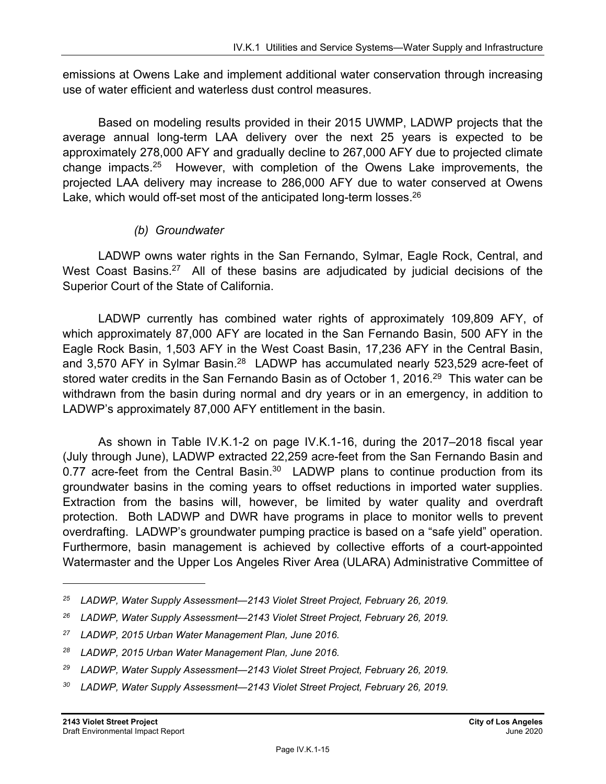emissions at Owens Lake and implement additional water conservation through increasing use of water efficient and waterless dust control measures.

Based on modeling results provided in their 2015 UWMP, LADWP projects that the average annual long-term LAA delivery over the next 25 years is expected to be approximately 278,000 AFY and gradually decline to 267,000 AFY due to projected climate change impacts.25 However, with completion of the Owens Lake improvements, the projected LAA delivery may increase to 286,000 AFY due to water conserved at Owens Lake, which would off-set most of the anticipated long-term losses.<sup>26</sup>

#### *(b) Groundwater*

LADWP owns water rights in the San Fernando, Sylmar, Eagle Rock, Central, and West Coast Basins.<sup>27</sup> All of these basins are adjudicated by judicial decisions of the Superior Court of the State of California.

LADWP currently has combined water rights of approximately 109,809 AFY, of which approximately 87,000 AFY are located in the San Fernando Basin, 500 AFY in the Eagle Rock Basin, 1,503 AFY in the West Coast Basin, 17,236 AFY in the Central Basin, and 3,570 AFY in Sylmar Basin.<sup>28</sup> LADWP has accumulated nearly 523,529 acre-feet of stored water credits in the San Fernando Basin as of October 1, 2016.<sup>29</sup> This water can be withdrawn from the basin during normal and dry years or in an emergency, in addition to LADWP's approximately 87,000 AFY entitlement in the basin.

As shown in Table IV.K.1-2 on page IV.K.1-16, during the 2017–2018 fiscal year (July through June), LADWP extracted 22,259 acre-feet from the San Fernando Basin and 0.77 acre-feet from the Central Basin. $30$  LADWP plans to continue production from its groundwater basins in the coming years to offset reductions in imported water supplies. Extraction from the basins will, however, be limited by water quality and overdraft protection. Both LADWP and DWR have programs in place to monitor wells to prevent overdrafting. LADWP's groundwater pumping practice is based on a "safe yield" operation. Furthermore, basin management is achieved by collective efforts of a court-appointed Watermaster and the Upper Los Angeles River Area (ULARA) Administrative Committee of

*<sup>25</sup> LADWP, Water Supply Assessment—2143 Violet Street Project, February 26, 2019.* 

*<sup>26</sup> LADWP, Water Supply Assessment—2143 Violet Street Project, February 26, 2019.* 

*<sup>27</sup> LADWP, 2015 Urban Water Management Plan, June 2016.* 

*<sup>28</sup> LADWP, 2015 Urban Water Management Plan, June 2016.* 

*<sup>29</sup> LADWP, Water Supply Assessment—2143 Violet Street Project, February 26, 2019.* 

<sup>&</sup>lt;sup>30</sup> LADWP, Water Supply Assessment—2143 Violet Street Project, February 26, 2019.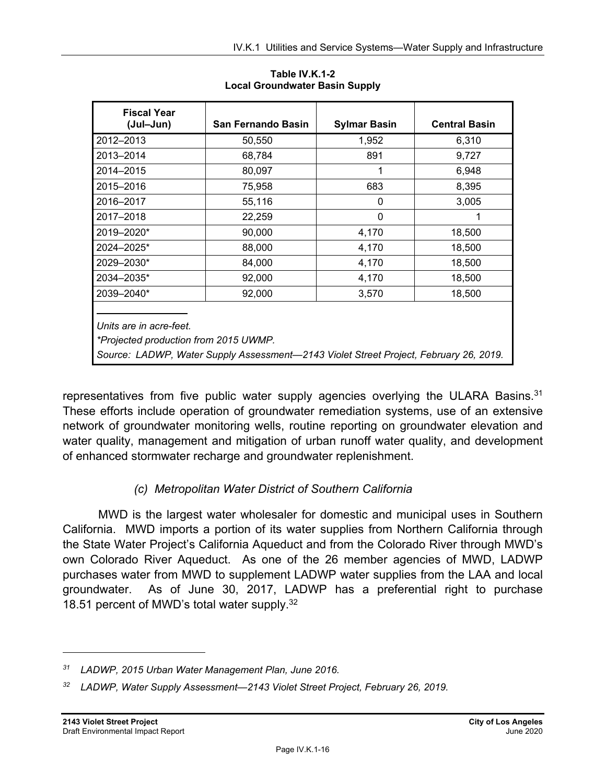| <b>Fiscal Year</b><br>(Jul-Jun)                                                                                                                           | San Fernando Basin | <b>Sylmar Basin</b> | <b>Central Basin</b> |  |  |
|-----------------------------------------------------------------------------------------------------------------------------------------------------------|--------------------|---------------------|----------------------|--|--|
| 2012-2013                                                                                                                                                 | 50,550             | 1,952               | 6,310                |  |  |
| 2013-2014                                                                                                                                                 | 68,784             | 891                 | 9,727                |  |  |
| 2014-2015                                                                                                                                                 | 80,097             |                     | 6,948                |  |  |
| 2015-2016                                                                                                                                                 | 75,958             | 683                 | 8,395                |  |  |
| 2016-2017                                                                                                                                                 | 55,116             | 0                   | 3,005                |  |  |
| 2017-2018                                                                                                                                                 | 22,259             | 0                   |                      |  |  |
| 2019-2020*                                                                                                                                                | 90,000             | 4,170               | 18,500               |  |  |
| 2024-2025*                                                                                                                                                | 88,000             | 4,170               | 18,500               |  |  |
| 2029-2030*                                                                                                                                                | 84,000             | 4,170               | 18,500               |  |  |
| 2034-2035*                                                                                                                                                | 92,000             | 4,170               | 18,500               |  |  |
| 2039-2040*                                                                                                                                                | 92,000             | 3,570               | 18,500               |  |  |
| Units are in acre-feet.<br>*Projected production from 2015 UWMP.<br>Source: LADWP, Water Supply Assessment-2143 Violet Street Project, February 26, 2019. |                    |                     |                      |  |  |

**Table IV.K.1-2 Local Groundwater Basin Supply** 

representatives from five public water supply agencies overlying the ULARA Basins. $31$ These efforts include operation of groundwater remediation systems, use of an extensive network of groundwater monitoring wells, routine reporting on groundwater elevation and water quality, management and mitigation of urban runoff water quality, and development of enhanced stormwater recharge and groundwater replenishment.

### *(c) Metropolitan Water District of Southern California*

MWD is the largest water wholesaler for domestic and municipal uses in Southern California. MWD imports a portion of its water supplies from Northern California through the State Water Project's California Aqueduct and from the Colorado River through MWD's own Colorado River Aqueduct. As one of the 26 member agencies of MWD, LADWP purchases water from MWD to supplement LADWP water supplies from the LAA and local groundwater. As of June 30, 2017, LADWP has a preferential right to purchase 18.51 percent of MWD's total water supply.32

*<sup>31</sup> LADWP, 2015 Urban Water Management Plan, June 2016.* 

<sup>&</sup>lt;sup>32</sup> LADWP, Water Supply Assessment—2143 Violet Street Project, February 26, 2019.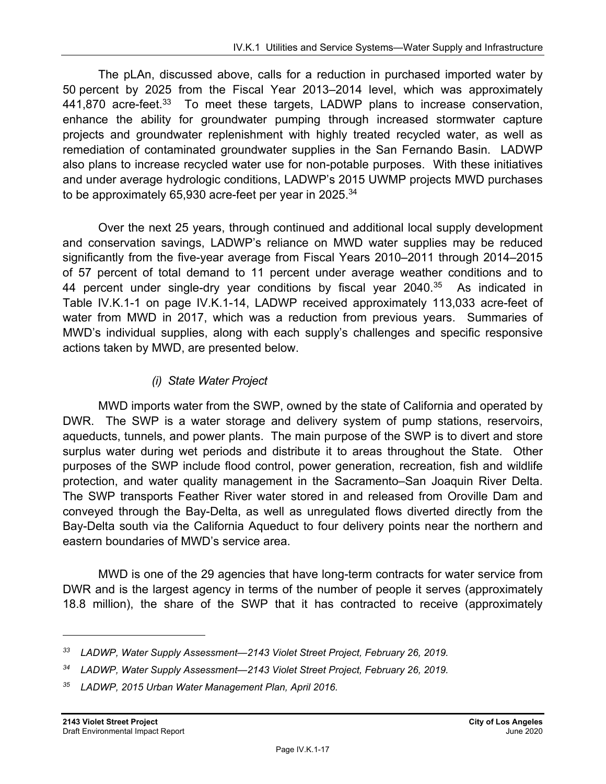The pLAn, discussed above, calls for a reduction in purchased imported water by 50 percent by 2025 from the Fiscal Year 2013–2014 level, which was approximately 441,870 acre-feet.<sup>33</sup> To meet these targets, LADWP plans to increase conservation, enhance the ability for groundwater pumping through increased stormwater capture projects and groundwater replenishment with highly treated recycled water, as well as remediation of contaminated groundwater supplies in the San Fernando Basin. LADWP also plans to increase recycled water use for non-potable purposes. With these initiatives and under average hydrologic conditions, LADWP's 2015 UWMP projects MWD purchases to be approximately 65,930 acre-feet per year in 2025.<sup>34</sup>

Over the next 25 years, through continued and additional local supply development and conservation savings, LADWP's reliance on MWD water supplies may be reduced significantly from the five-year average from Fiscal Years 2010–2011 through 2014–2015 of 57 percent of total demand to 11 percent under average weather conditions and to 44 percent under single-dry year conditions by fiscal year  $2040$ .<sup>35</sup> As indicated in Table IV.K.1-1 on page IV.K.1-14, LADWP received approximately 113,033 acre-feet of water from MWD in 2017, which was a reduction from previous years. Summaries of MWD's individual supplies, along with each supply's challenges and specific responsive actions taken by MWD, are presented below.

#### *(i) State Water Project*

MWD imports water from the SWP, owned by the state of California and operated by DWR. The SWP is a water storage and delivery system of pump stations, reservoirs, aqueducts, tunnels, and power plants. The main purpose of the SWP is to divert and store surplus water during wet periods and distribute it to areas throughout the State. Other purposes of the SWP include flood control, power generation, recreation, fish and wildlife protection, and water quality management in the Sacramento–San Joaquin River Delta. The SWP transports Feather River water stored in and released from Oroville Dam and conveyed through the Bay-Delta, as well as unregulated flows diverted directly from the Bay-Delta south via the California Aqueduct to four delivery points near the northern and eastern boundaries of MWD's service area.

MWD is one of the 29 agencies that have long-term contracts for water service from DWR and is the largest agency in terms of the number of people it serves (approximately 18.8 million), the share of the SWP that it has contracted to receive (approximately

*<sup>33</sup> LADWP, Water Supply Assessment—2143 Violet Street Project, February 26, 2019.* 

*<sup>34</sup> LADWP, Water Supply Assessment—2143 Violet Street Project, February 26, 2019.* 

*<sup>35</sup> LADWP, 2015 Urban Water Management Plan, April 2016.*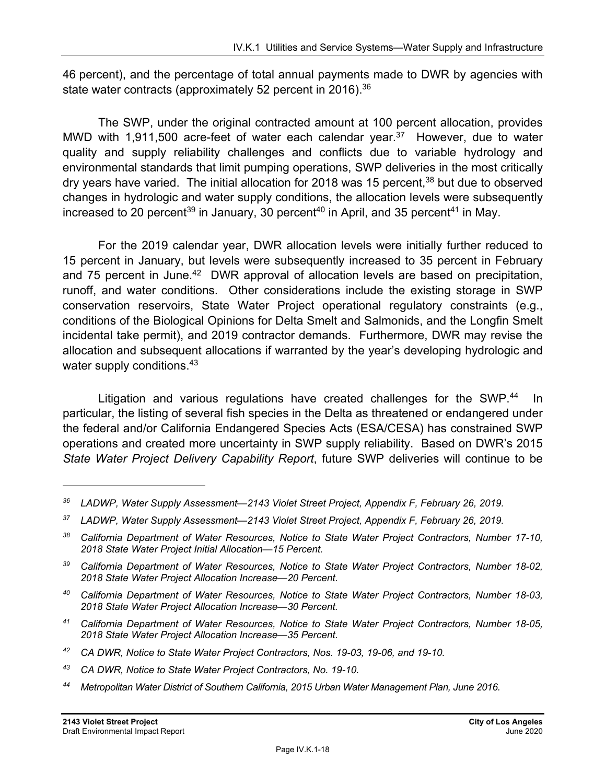46 percent), and the percentage of total annual payments made to DWR by agencies with state water contracts (approximately 52 percent in 2016).<sup>36</sup>

The SWP, under the original contracted amount at 100 percent allocation, provides MWD with 1,911,500 acre-feet of water each calendar year.<sup>37</sup> However, due to water quality and supply reliability challenges and conflicts due to variable hydrology and environmental standards that limit pumping operations, SWP deliveries in the most critically dry years have varied. The initial allocation for 2018 was 15 percent,  $38$  but due to observed changes in hydrologic and water supply conditions, the allocation levels were subsequently increased to 20 percent<sup>39</sup> in January, 30 percent<sup>40</sup> in April, and 35 percent<sup>41</sup> in May.

For the 2019 calendar year, DWR allocation levels were initially further reduced to 15 percent in January, but levels were subsequently increased to 35 percent in February and 75 percent in June.<sup>42</sup> DWR approval of allocation levels are based on precipitation, runoff, and water conditions. Other considerations include the existing storage in SWP conservation reservoirs, State Water Project operational regulatory constraints (e.g., conditions of the Biological Opinions for Delta Smelt and Salmonids, and the Longfin Smelt incidental take permit), and 2019 contractor demands. Furthermore, DWR may revise the allocation and subsequent allocations if warranted by the year's developing hydrologic and water supply conditions.<sup>43</sup>

Litigation and various regulations have created challenges for the SWP.<sup>44</sup> In particular, the listing of several fish species in the Delta as threatened or endangered under the federal and/or California Endangered Species Acts (ESA/CESA) has constrained SWP operations and created more uncertainty in SWP supply reliability. Based on DWR's 2015 *State Water Project Delivery Capability Report*, future SWP deliveries will continue to be

- *40 California Department of Water Resources, Notice to State Water Project Contractors, Number 18-03, 2018 State Water Project Allocation Increase—30 Percent.*
- *41 California Department of Water Resources, Notice to State Water Project Contractors, Number 18-05, 2018 State Water Project Allocation Increase—35 Percent.*
- *42 CA DWR, Notice to State Water Project Contractors, Nos. 19-03, 19-06, and 19-10.*
- *43 CA DWR, Notice to State Water Project Contractors, No. 19-10.*
- *44 Metropolitan Water District of Southern California, 2015 Urban Water Management Plan, June 2016.*

*<sup>36</sup> LADWP, Water Supply Assessment—2143 Violet Street Project, Appendix F, February 26, 2019.* 

*<sup>37</sup> LADWP, Water Supply Assessment—2143 Violet Street Project, Appendix F, February 26, 2019.* 

*<sup>38</sup> California Department of Water Resources, Notice to State Water Project Contractors, Number 17-10, 2018 State Water Project Initial Allocation—15 Percent.* 

*<sup>39</sup> California Department of Water Resources, Notice to State Water Project Contractors, Number 18-02, 2018 State Water Project Allocation Increase—20 Percent.*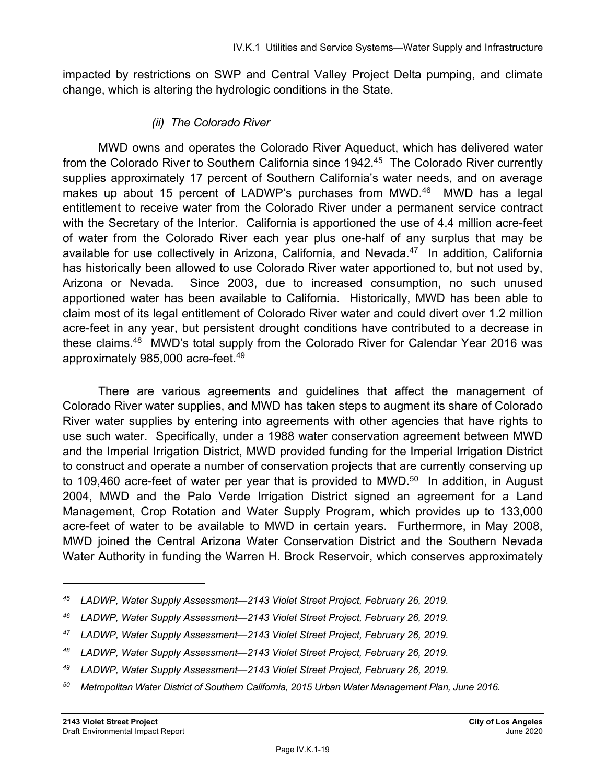impacted by restrictions on SWP and Central Valley Project Delta pumping, and climate change, which is altering the hydrologic conditions in the State.

#### *(ii) The Colorado River*

MWD owns and operates the Colorado River Aqueduct, which has delivered water from the Colorado River to Southern California since 1942.<sup>45</sup> The Colorado River currently supplies approximately 17 percent of Southern California's water needs, and on average makes up about 15 percent of LADWP's purchases from MWD. $46$  MWD has a legal entitlement to receive water from the Colorado River under a permanent service contract with the Secretary of the Interior. California is apportioned the use of 4.4 million acre-feet of water from the Colorado River each year plus one-half of any surplus that may be available for use collectively in Arizona, California, and Nevada.<sup>47</sup> In addition, California has historically been allowed to use Colorado River water apportioned to, but not used by, Arizona or Nevada. Since 2003, due to increased consumption, no such unused apportioned water has been available to California. Historically, MWD has been able to claim most of its legal entitlement of Colorado River water and could divert over 1.2 million acre-feet in any year, but persistent drought conditions have contributed to a decrease in these claims.<sup>48</sup> MWD's total supply from the Colorado River for Calendar Year 2016 was approximately 985,000 acre-feet.49

There are various agreements and guidelines that affect the management of Colorado River water supplies, and MWD has taken steps to augment its share of Colorado River water supplies by entering into agreements with other agencies that have rights to use such water. Specifically, under a 1988 water conservation agreement between MWD and the Imperial Irrigation District, MWD provided funding for the Imperial Irrigation District to construct and operate a number of conservation projects that are currently conserving up to 109,460 acre-feet of water per year that is provided to MWD.<sup>50</sup> In addition, in August 2004, MWD and the Palo Verde Irrigation District signed an agreement for a Land Management, Crop Rotation and Water Supply Program, which provides up to 133,000 acre-feet of water to be available to MWD in certain years. Furthermore, in May 2008, MWD joined the Central Arizona Water Conservation District and the Southern Nevada Water Authority in funding the Warren H. Brock Reservoir, which conserves approximately

*<sup>45</sup> LADWP, Water Supply Assessment—2143 Violet Street Project, February 26, 2019.* 

*<sup>46</sup> LADWP, Water Supply Assessment—2143 Violet Street Project, February 26, 2019.* 

*<sup>47</sup> LADWP, Water Supply Assessment—2143 Violet Street Project, February 26, 2019.* 

*<sup>48</sup> LADWP, Water Supply Assessment—2143 Violet Street Project, February 26, 2019.* 

*<sup>49</sup> LADWP, Water Supply Assessment—2143 Violet Street Project, February 26, 2019.* 

*<sup>50</sup> Metropolitan Water District of Southern California, 2015 Urban Water Management Plan, June 2016.*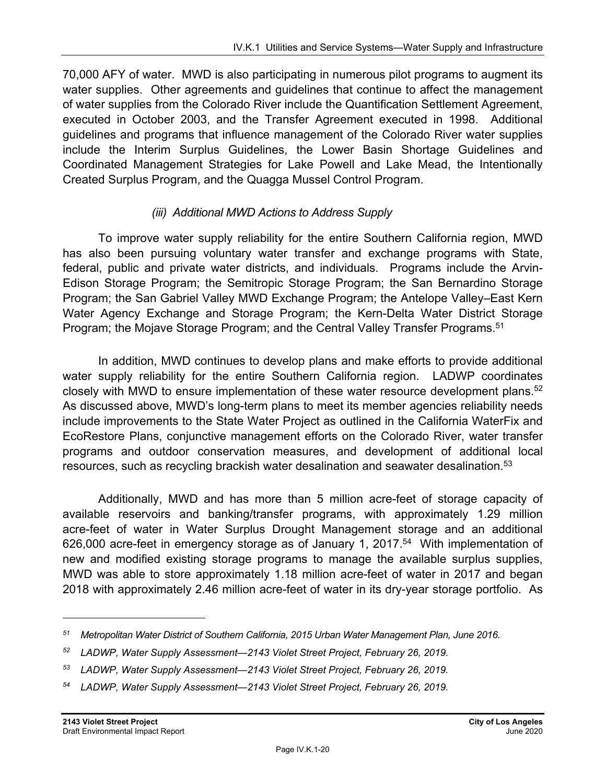70,000 AFY of water. MWD is also participating in numerous pilot programs to augment its water supplies. Other agreements and guidelines that continue to affect the management of water supplies from the Colorado River include the Quantification Settlement Agreement, executed in October 2003, and the Transfer Agreement executed in 1998. Additional guidelines and programs that influence management of the Colorado River water supplies include the Interim Surplus Guidelines, the Lower Basin Shortage Guidelines and Coordinated Management Strategies for Lake Powell and Lake Mead, the Intentionally Created Surplus Program, and the Quagga Mussel Control Program.

#### *(iii) Additional MWD Actions to Address Supply*

To improve water supply reliability for the entire Southern California region, MWD has also been pursuing voluntary water transfer and exchange programs with State, federal, public and private water districts, and individuals. Programs include the Arvin-Edison Storage Program; the Semitropic Storage Program; the San Bernardino Storage Program; the San Gabriel Valley MWD Exchange Program; the Antelope Valley–East Kern Water Agency Exchange and Storage Program; the Kern-Delta Water District Storage Program; the Mojave Storage Program; and the Central Valley Transfer Programs.<sup>51</sup>

In addition, MWD continues to develop plans and make efforts to provide additional water supply reliability for the entire Southern California region. LADWP coordinates closely with MWD to ensure implementation of these water resource development plans.<sup>52</sup> As discussed above, MWD's long-term plans to meet its member agencies reliability needs include improvements to the State Water Project as outlined in the California WaterFix and EcoRestore Plans, conjunctive management efforts on the Colorado River, water transfer programs and outdoor conservation measures, and development of additional local resources, such as recycling brackish water desalination and seawater desalination.<sup>53</sup>

Additionally, MWD and has more than 5 million acre-feet of storage capacity of available reservoirs and banking/transfer programs, with approximately 1.29 million acre-feet of water in Water Surplus Drought Management storage and an additional 626,000 acre-feet in emergency storage as of January 1, 2017.<sup>54</sup> With implementation of new and modified existing storage programs to manage the available surplus supplies, MWD was able to store approximately 1.18 million acre-feet of water in 2017 and began 2018 with approximately 2.46 million acre-feet of water in its dry-year storage portfolio. As

*<sup>51</sup> Metropolitan Water District of Southern California, 2015 Urban Water Management Plan, June 2016.* 

*<sup>52</sup> LADWP, Water Supply Assessment—2143 Violet Street Project, February 26, 2019.* 

*<sup>53</sup> LADWP, Water Supply Assessment—2143 Violet Street Project, February 26, 2019.* 

*<sup>54</sup> LADWP, Water Supply Assessment—2143 Violet Street Project, February 26, 2019.*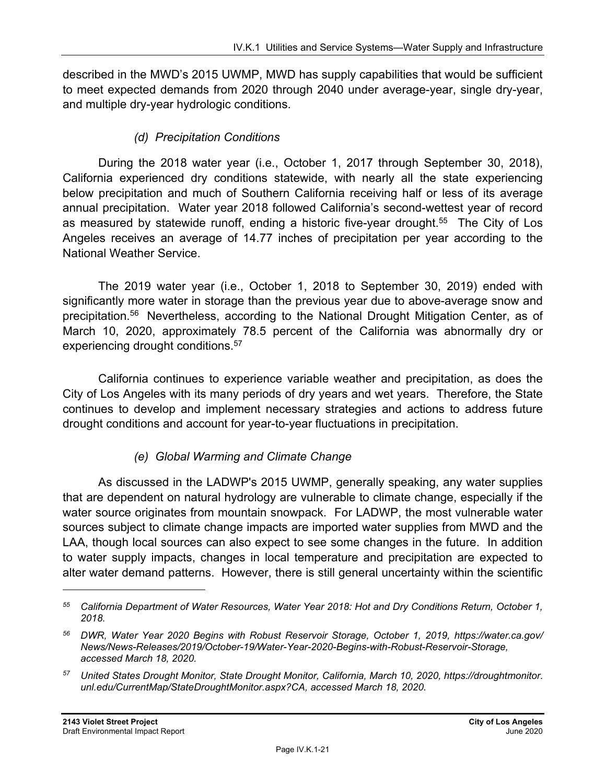described in the MWD's 2015 UWMP, MWD has supply capabilities that would be sufficient to meet expected demands from 2020 through 2040 under average-year, single dry-year, and multiple dry-year hydrologic conditions.

#### *(d) Precipitation Conditions*

During the 2018 water year (i.e., October 1, 2017 through September 30, 2018), California experienced dry conditions statewide, with nearly all the state experiencing below precipitation and much of Southern California receiving half or less of its average annual precipitation. Water year 2018 followed California's second-wettest year of record as measured by statewide runoff, ending a historic five-year drought.<sup>55</sup> The City of Los Angeles receives an average of 14.77 inches of precipitation per year according to the National Weather Service.

The 2019 water year (i.e., October 1, 2018 to September 30, 2019) ended with significantly more water in storage than the previous year due to above-average snow and precipitation.56 Nevertheless, according to the National Drought Mitigation Center, as of March 10, 2020, approximately 78.5 percent of the California was abnormally dry or experiencing drought conditions.<sup>57</sup>

California continues to experience variable weather and precipitation, as does the City of Los Angeles with its many periods of dry years and wet years. Therefore, the State continues to develop and implement necessary strategies and actions to address future drought conditions and account for year-to-year fluctuations in precipitation.

### *(e) Global Warming and Climate Change*

As discussed in the LADWP's 2015 UWMP, generally speaking, any water supplies that are dependent on natural hydrology are vulnerable to climate change, especially if the water source originates from mountain snowpack. For LADWP, the most vulnerable water sources subject to climate change impacts are imported water supplies from MWD and the LAA, though local sources can also expect to see some changes in the future. In addition to water supply impacts, changes in local temperature and precipitation are expected to alter water demand patterns. However, there is still general uncertainty within the scientific

*<sup>55</sup> California Department of Water Resources, Water Year 2018: Hot and Dry Conditions Return, October 1, 2018.* 

*<sup>56</sup> DWR, Water Year 2020 Begins with Robust Reservoir Storage, October 1, 2019, https://water.ca.gov/ News/News-Releases/2019/October-19/Water-Year-2020-Begins-with-Robust-Reservoir-Storage, accessed March 18, 2020.* 

*<sup>57</sup> United States Drought Monitor, State Drought Monitor, California, March 10, 2020, https://droughtmonitor. unl.edu/CurrentMap/StateDroughtMonitor.aspx?CA, accessed March 18, 2020.*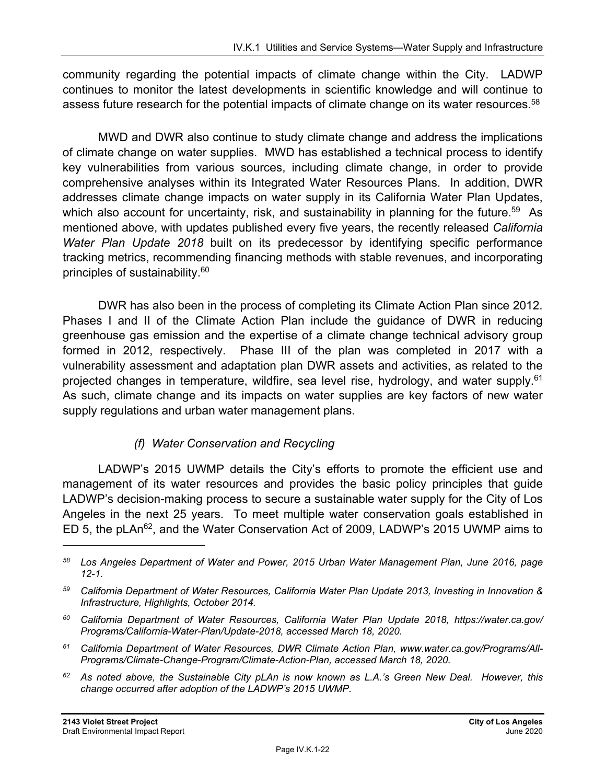community regarding the potential impacts of climate change within the City. LADWP continues to monitor the latest developments in scientific knowledge and will continue to assess future research for the potential impacts of climate change on its water resources.<sup>58</sup>

MWD and DWR also continue to study climate change and address the implications of climate change on water supplies. MWD has established a technical process to identify key vulnerabilities from various sources, including climate change, in order to provide comprehensive analyses within its Integrated Water Resources Plans. In addition, DWR addresses climate change impacts on water supply in its California Water Plan Updates, which also account for uncertainty, risk, and sustainability in planning for the future.<sup>59</sup> As mentioned above, with updates published every five years, the recently released *California Water Plan Update 2018* built on its predecessor by identifying specific performance tracking metrics, recommending financing methods with stable revenues, and incorporating principles of sustainability.60

DWR has also been in the process of completing its Climate Action Plan since 2012. Phases I and II of the Climate Action Plan include the guidance of DWR in reducing greenhouse gas emission and the expertise of a climate change technical advisory group formed in 2012, respectively. Phase III of the plan was completed in 2017 with a vulnerability assessment and adaptation plan DWR assets and activities, as related to the projected changes in temperature, wildfire, sea level rise, hydrology, and water supply.<sup>61</sup> As such, climate change and its impacts on water supplies are key factors of new water supply regulations and urban water management plans.

### *(f) Water Conservation and Recycling*

LADWP's 2015 UWMP details the City's efforts to promote the efficient use and management of its water resources and provides the basic policy principles that guide LADWP's decision-making process to secure a sustainable water supply for the City of Los Angeles in the next 25 years. To meet multiple water conservation goals established in ED 5, the pLAn62, and the Water Conservation Act of 2009, LADWP's 2015 UWMP aims to

*62 As noted above, the Sustainable City pLAn is now known as L.A.'s Green New Deal. However, this change occurred after adoption of the LADWP's 2015 UWMP.* 

*<sup>58</sup> Los Angeles Department of Water and Power, 2015 Urban Water Management Plan, June 2016, page 12-1.* 

*<sup>59</sup> California Department of Water Resources, California Water Plan Update 2013, Investing in Innovation & Infrastructure, Highlights, October 2014.* 

*<sup>60</sup> California Department of Water Resources, California Water Plan Update 2018, https://water.ca.gov/ Programs/California-Water-Plan/Update-2018, accessed March 18, 2020.* 

*<sup>61</sup> California Department of Water Resources, DWR Climate Action Plan, www.water.ca.gov/Programs/All-Programs/Climate-Change-Program/Climate-Action-Plan, accessed March 18, 2020.*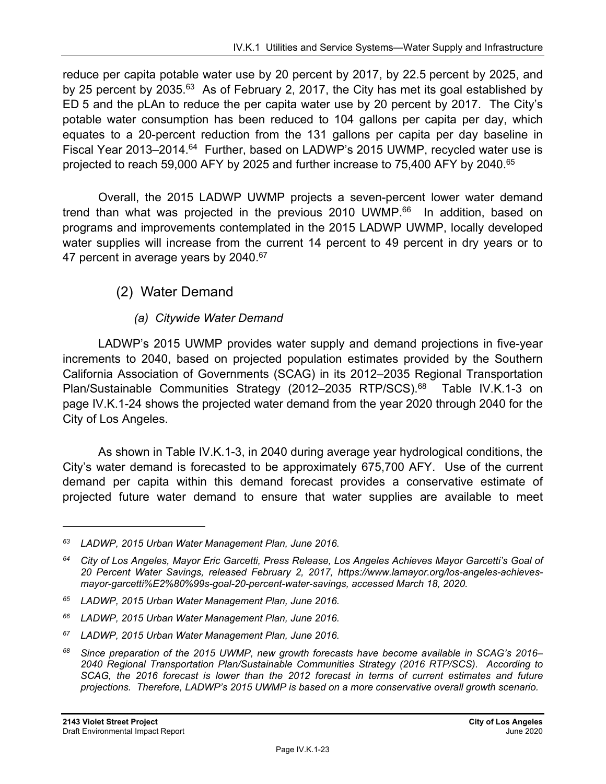reduce per capita potable water use by 20 percent by 2017, by 22.5 percent by 2025, and by 25 percent by 2035.<sup>63</sup> As of February 2, 2017, the City has met its goal established by ED 5 and the pLAn to reduce the per capita water use by 20 percent by 2017. The City's potable water consumption has been reduced to 104 gallons per capita per day, which equates to a 20-percent reduction from the 131 gallons per capita per day baseline in Fiscal Year 2013–2014.<sup>64</sup> Further, based on LADWP's 2015 UWMP, recycled water use is projected to reach 59,000 AFY by 2025 and further increase to 75,400 AFY by 2040.<sup>65</sup>

Overall, the 2015 LADWP UWMP projects a seven-percent lower water demand trend than what was projected in the previous 2010 UWMP.<sup>66</sup> In addition, based on programs and improvements contemplated in the 2015 LADWP UWMP, locally developed water supplies will increase from the current 14 percent to 49 percent in dry years or to 47 percent in average years by 2040.<sup>67</sup>

### (2) Water Demand

#### *(a) Citywide Water Demand*

LADWP's 2015 UWMP provides water supply and demand projections in five-year increments to 2040, based on projected population estimates provided by the Southern California Association of Governments (SCAG) in its 2012–2035 Regional Transportation Plan/Sustainable Communities Strategy (2012–2035 RTP/SCS).<sup>68</sup> Table IV.K.1-3 on page IV.K.1-24 shows the projected water demand from the year 2020 through 2040 for the City of Los Angeles.

As shown in Table IV.K.1-3, in 2040 during average year hydrological conditions, the City's water demand is forecasted to be approximately 675,700 AFY. Use of the current demand per capita within this demand forecast provides a conservative estimate of projected future water demand to ensure that water supplies are available to meet

*<sup>63</sup> LADWP, 2015 Urban Water Management Plan, June 2016.* 

*<sup>64</sup> City of Los Angeles, Mayor Eric Garcetti, Press Release, Los Angeles Achieves Mayor Garcetti's Goal of 20 Percent Water Savings, released February 2, 2017, https://www.lamayor.org/los-angeles-achievesmayor-garcetti%E2%80%99s-goal-20-percent-water-savings, accessed March 18, 2020.* 

*<sup>65</sup> LADWP, 2015 Urban Water Management Plan, June 2016.* 

*<sup>66</sup> LADWP, 2015 Urban Water Management Plan, June 2016.* 

*<sup>67</sup> LADWP, 2015 Urban Water Management Plan, June 2016.* 

*<sup>68</sup> Since preparation of the 2015 UWMP, new growth forecasts have become available in SCAG's 2016– 2040 Regional Transportation Plan/Sustainable Communities Strategy (2016 RTP/SCS). According to*  SCAG, the 2016 forecast is lower than the 2012 forecast in terms of current estimates and future *projections. Therefore, LADWP's 2015 UWMP is based on a more conservative overall growth scenario.*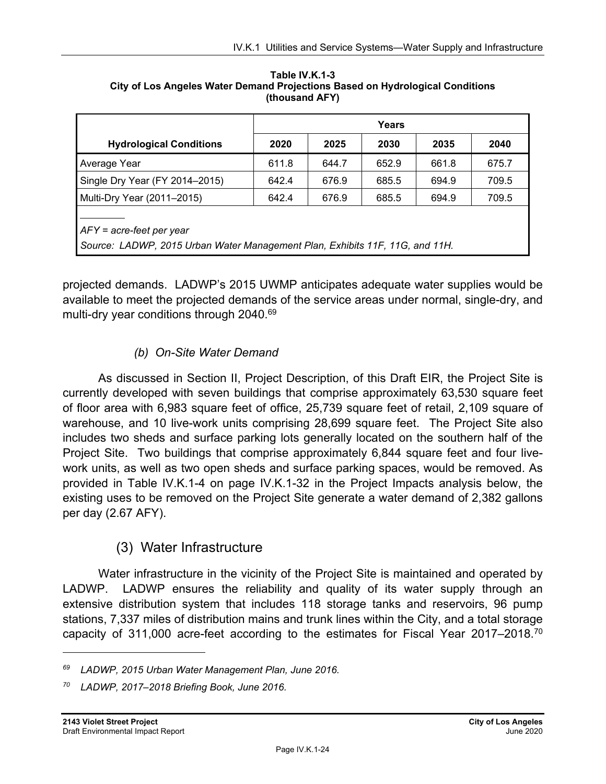|                                                                                                            | Years |       |       |       |       |
|------------------------------------------------------------------------------------------------------------|-------|-------|-------|-------|-------|
| <b>Hydrological Conditions</b>                                                                             | 2020  | 2025  | 2030  | 2035  | 2040  |
| Average Year                                                                                               | 611.8 | 644.7 | 652.9 | 661.8 | 675.7 |
| Single Dry Year (FY 2014-2015)                                                                             | 642.4 | 676.9 | 685.5 | 694.9 | 709.5 |
| Multi-Dry Year (2011–2015)                                                                                 | 642.4 | 676.9 | 685.5 | 694.9 | 709.5 |
| $AFY = acre-free$ per year<br>Source: LADWP, 2015 Urban Water Management Plan, Exhibits 11F, 11G, and 11H. |       |       |       |       |       |

**Table IV.K.1-3 City of Los Angeles Water Demand Projections Based on Hydrological Conditions (thousand AFY)** 

projected demands. LADWP's 2015 UWMP anticipates adequate water supplies would be available to meet the projected demands of the service areas under normal, single-dry, and multi-dry year conditions through 2040.<sup>69</sup>

### *(b) On-Site Water Demand*

As discussed in Section II, Project Description, of this Draft EIR, the Project Site is currently developed with seven buildings that comprise approximately 63,530 square feet of floor area with 6,983 square feet of office, 25,739 square feet of retail, 2,109 square of warehouse, and 10 live-work units comprising 28,699 square feet. The Project Site also includes two sheds and surface parking lots generally located on the southern half of the Project Site. Two buildings that comprise approximately 6,844 square feet and four livework units, as well as two open sheds and surface parking spaces, would be removed. As provided in Table IV.K.1-4 on page IV.K.1-32 in the Project Impacts analysis below, the existing uses to be removed on the Project Site generate a water demand of 2,382 gallons per day (2.67 AFY).

### (3) Water Infrastructure

Water infrastructure in the vicinity of the Project Site is maintained and operated by LADWP. LADWP ensures the reliability and quality of its water supply through an extensive distribution system that includes 118 storage tanks and reservoirs, 96 pump stations, 7,337 miles of distribution mains and trunk lines within the City, and a total storage capacity of 311,000 acre-feet according to the estimates for Fiscal Year 2017–2018.<sup>70</sup>

*<sup>69</sup> LADWP, 2015 Urban Water Management Plan, June 2016.* 

*<sup>70</sup> LADWP, 2017–2018 Briefing Book, June 2016.*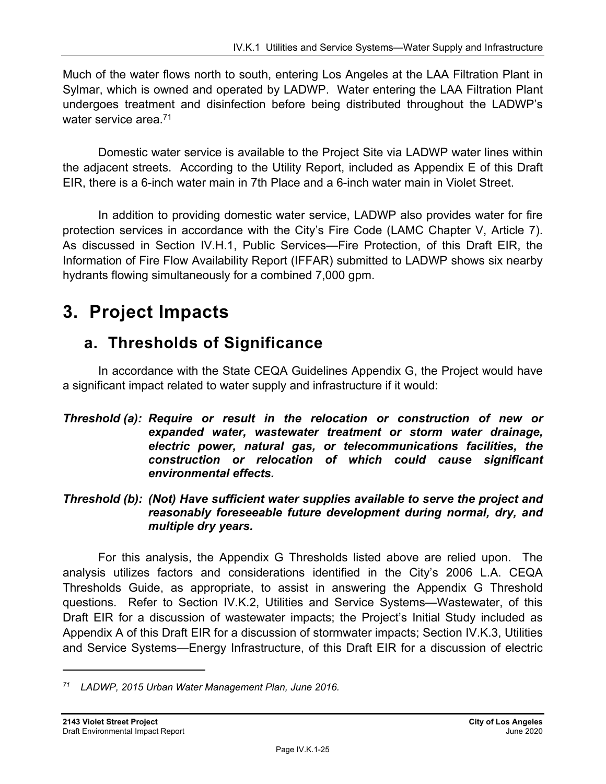Much of the water flows north to south, entering Los Angeles at the LAA Filtration Plant in Sylmar, which is owned and operated by LADWP. Water entering the LAA Filtration Plant undergoes treatment and disinfection before being distributed throughout the LADWP's water service area.<sup>71</sup>

Domestic water service is available to the Project Site via LADWP water lines within the adjacent streets. According to the Utility Report, included as Appendix E of this Draft EIR, there is a 6-inch water main in 7th Place and a 6-inch water main in Violet Street.

In addition to providing domestic water service, LADWP also provides water for fire protection services in accordance with the City's Fire Code (LAMC Chapter V, Article 7). As discussed in Section IV.H.1, Public Services—Fire Protection, of this Draft EIR, the Information of Fire Flow Availability Report (IFFAR) submitted to LADWP shows six nearby hydrants flowing simultaneously for a combined 7,000 gpm.

# **3. Project Impacts**

## **a. Thresholds of Significance**

In accordance with the State CEQA Guidelines Appendix G, the Project would have a significant impact related to water supply and infrastructure if it would:

#### *Threshold (a): Require or result in the relocation or construction of new or expanded water, wastewater treatment or storm water drainage, electric power, natural gas, or telecommunications facilities, the construction or relocation of which could cause significant environmental effects.*

#### *Threshold (b): (Not) Have sufficient water supplies available to serve the project and reasonably foreseeable future development during normal, dry, and multiple dry years.*

For this analysis, the Appendix G Thresholds listed above are relied upon. The analysis utilizes factors and considerations identified in the City's 2006 L.A. CEQA Thresholds Guide, as appropriate, to assist in answering the Appendix G Threshold questions. Refer to Section IV.K.2, Utilities and Service Systems—Wastewater, of this Draft EIR for a discussion of wastewater impacts; the Project's Initial Study included as Appendix A of this Draft EIR for a discussion of stormwater impacts; Section IV.K.3, Utilities and Service Systems—Energy Infrastructure, of this Draft EIR for a discussion of electric

*<sup>71</sup> LADWP, 2015 Urban Water Management Plan, June 2016.*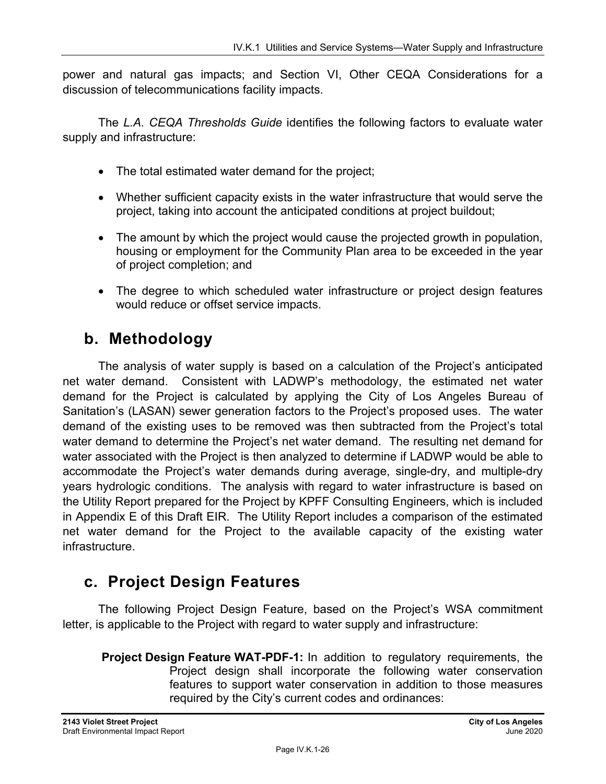power and natural gas impacts; and Section VI, Other CEQA Considerations for a discussion of telecommunications facility impacts.

The *L.A. CEQA Thresholds Guide* identifies the following factors to evaluate water supply and infrastructure:

- The total estimated water demand for the project;
- Whether sufficient capacity exists in the water infrastructure that would serve the project, taking into account the anticipated conditions at project buildout;
- The amount by which the project would cause the projected growth in population, housing or employment for the Community Plan area to be exceeded in the year of project completion; and
- The degree to which scheduled water infrastructure or project design features would reduce or offset service impacts.

## **b. Methodology**

The analysis of water supply is based on a calculation of the Project's anticipated net water demand. Consistent with LADWP's methodology, the estimated net water demand for the Project is calculated by applying the City of Los Angeles Bureau of Sanitation's (LASAN) sewer generation factors to the Project's proposed uses. The water demand of the existing uses to be removed was then subtracted from the Project's total water demand to determine the Project's net water demand. The resulting net demand for water associated with the Project is then analyzed to determine if LADWP would be able to accommodate the Project's water demands during average, single-dry, and multiple-dry years hydrologic conditions. The analysis with regard to water infrastructure is based on the Utility Report prepared for the Project by KPFF Consulting Engineers, which is included in Appendix E of this Draft EIR. The Utility Report includes a comparison of the estimated net water demand for the Project to the available capacity of the existing water infrastructure.

## **c. Project Design Features**

The following Project Design Feature, based on the Project's WSA commitment letter, is applicable to the Project with regard to water supply and infrastructure:

 **Project Design Feature WAT-PDF-1:** In addition to regulatory requirements, the Project design shall incorporate the following water conservation features to support water conservation in addition to those measures required by the City's current codes and ordinances: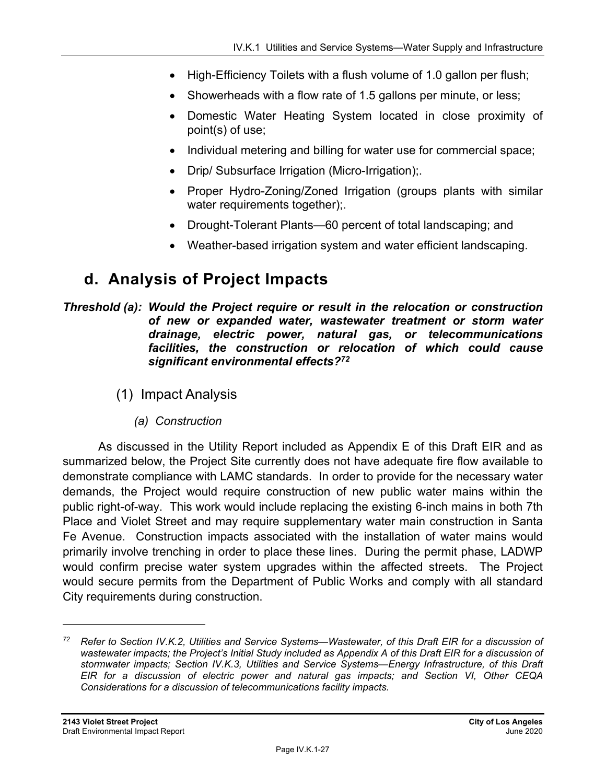- High-Efficiency Toilets with a flush volume of 1.0 gallon per flush;
- Showerheads with a flow rate of 1.5 gallons per minute, or less;
- Domestic Water Heating System located in close proximity of point(s) of use;
- Individual metering and billing for water use for commercial space;
- Drip/ Subsurface Irrigation (Micro-Irrigation);
- Proper Hydro-Zoning/Zoned Irrigation (groups plants with similar water requirements together);.
- Drought-Tolerant Plants—60 percent of total landscaping; and
- Weather-based irrigation system and water efficient landscaping.

## **d. Analysis of Project Impacts**

#### *Threshold (a): Would the Project require or result in the relocation or construction of new or expanded water, wastewater treatment or storm water drainage, electric power, natural gas, or telecommunications facilities, the construction or relocation of which could cause significant environmental effects?72*

- (1) Impact Analysis
	- *(a) Construction*

As discussed in the Utility Report included as Appendix E of this Draft EIR and as summarized below, the Project Site currently does not have adequate fire flow available to demonstrate compliance with LAMC standards. In order to provide for the necessary water demands, the Project would require construction of new public water mains within the public right-of-way. This work would include replacing the existing 6-inch mains in both 7th Place and Violet Street and may require supplementary water main construction in Santa Fe Avenue. Construction impacts associated with the installation of water mains would primarily involve trenching in order to place these lines. During the permit phase, LADWP would confirm precise water system upgrades within the affected streets. The Project would secure permits from the Department of Public Works and comply with all standard City requirements during construction.

*<sup>72</sup> Refer to Section IV.K.2, Utilities and Service Systems—Wastewater, of this Draft EIR for a discussion of wastewater impacts; the Project's Initial Study included as Appendix A of this Draft EIR for a discussion of stormwater impacts; Section IV.K.3, Utilities and Service Systems—Energy Infrastructure, of this Draft EIR for a discussion of electric power and natural gas impacts; and Section VI, Other CEQA Considerations for a discussion of telecommunications facility impacts.*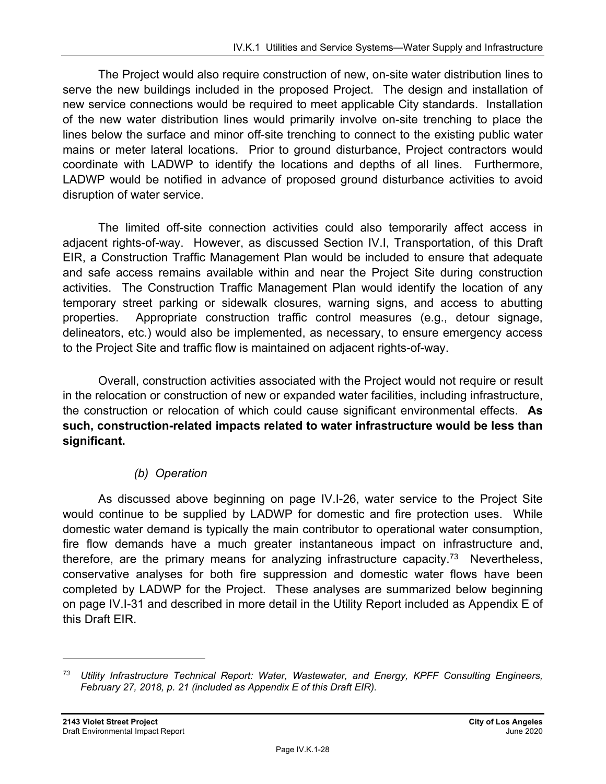The Project would also require construction of new, on-site water distribution lines to serve the new buildings included in the proposed Project. The design and installation of new service connections would be required to meet applicable City standards. Installation of the new water distribution lines would primarily involve on-site trenching to place the lines below the surface and minor off-site trenching to connect to the existing public water mains or meter lateral locations. Prior to ground disturbance, Project contractors would coordinate with LADWP to identify the locations and depths of all lines. Furthermore, LADWP would be notified in advance of proposed ground disturbance activities to avoid disruption of water service.

The limited off-site connection activities could also temporarily affect access in adjacent rights-of-way. However, as discussed Section IV.I, Transportation, of this Draft EIR, a Construction Traffic Management Plan would be included to ensure that adequate and safe access remains available within and near the Project Site during construction activities. The Construction Traffic Management Plan would identify the location of any temporary street parking or sidewalk closures, warning signs, and access to abutting properties. Appropriate construction traffic control measures (e.g., detour signage, delineators, etc.) would also be implemented, as necessary, to ensure emergency access to the Project Site and traffic flow is maintained on adjacent rights-of-way.

Overall, construction activities associated with the Project would not require or result in the relocation or construction of new or expanded water facilities, including infrastructure, the construction or relocation of which could cause significant environmental effects. **As such, construction-related impacts related to water infrastructure would be less than significant.**

### *(b) Operation*

As discussed above beginning on page IV.I-26, water service to the Project Site would continue to be supplied by LADWP for domestic and fire protection uses. While domestic water demand is typically the main contributor to operational water consumption, fire flow demands have a much greater instantaneous impact on infrastructure and, therefore, are the primary means for analyzing infrastructure capacity.<sup>73</sup> Nevertheless, conservative analyses for both fire suppression and domestic water flows have been completed by LADWP for the Project. These analyses are summarized below beginning on page IV.I-31 and described in more detail in the Utility Report included as Appendix E of this Draft EIR.

*<sup>73</sup> Utility Infrastructure Technical Report: Water, Wastewater, and Energy, KPFF Consulting Engineers, February 27, 2018, p. 21 (included as Appendix E of this Draft EIR).*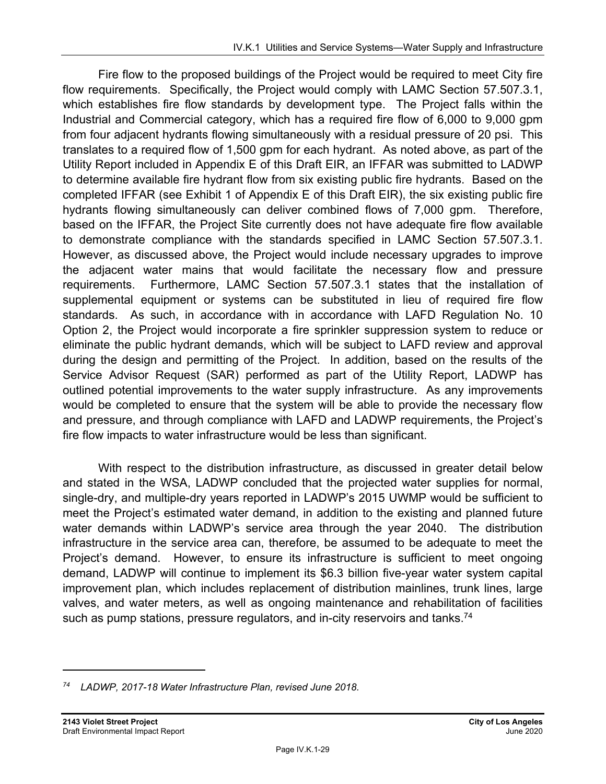Fire flow to the proposed buildings of the Project would be required to meet City fire flow requirements. Specifically, the Project would comply with LAMC Section 57.507.3.1, which establishes fire flow standards by development type. The Project falls within the Industrial and Commercial category, which has a required fire flow of 6,000 to 9,000 gpm from four adjacent hydrants flowing simultaneously with a residual pressure of 20 psi. This translates to a required flow of 1,500 gpm for each hydrant. As noted above, as part of the Utility Report included in Appendix E of this Draft EIR, an IFFAR was submitted to LADWP to determine available fire hydrant flow from six existing public fire hydrants. Based on the completed IFFAR (see Exhibit 1 of Appendix E of this Draft EIR), the six existing public fire hydrants flowing simultaneously can deliver combined flows of 7,000 gpm. Therefore, based on the IFFAR, the Project Site currently does not have adequate fire flow available to demonstrate compliance with the standards specified in LAMC Section 57.507.3.1. However, as discussed above, the Project would include necessary upgrades to improve the adjacent water mains that would facilitate the necessary flow and pressure requirements. Furthermore, LAMC Section 57.507.3.1 states that the installation of supplemental equipment or systems can be substituted in lieu of required fire flow standards. As such, in accordance with in accordance with LAFD Regulation No. 10 Option 2, the Project would incorporate a fire sprinkler suppression system to reduce or eliminate the public hydrant demands, which will be subject to LAFD review and approval during the design and permitting of the Project. In addition, based on the results of the Service Advisor Request (SAR) performed as part of the Utility Report, LADWP has outlined potential improvements to the water supply infrastructure. As any improvements would be completed to ensure that the system will be able to provide the necessary flow and pressure, and through compliance with LAFD and LADWP requirements, the Project's fire flow impacts to water infrastructure would be less than significant.

With respect to the distribution infrastructure, as discussed in greater detail below and stated in the WSA, LADWP concluded that the projected water supplies for normal, single-dry, and multiple-dry years reported in LADWP's 2015 UWMP would be sufficient to meet the Project's estimated water demand, in addition to the existing and planned future water demands within LADWP's service area through the year 2040. The distribution infrastructure in the service area can, therefore, be assumed to be adequate to meet the Project's demand. However, to ensure its infrastructure is sufficient to meet ongoing demand, LADWP will continue to implement its \$6.3 billion five-year water system capital improvement plan, which includes replacement of distribution mainlines, trunk lines, large valves, and water meters, as well as ongoing maintenance and rehabilitation of facilities such as pump stations, pressure regulators, and in-city reservoirs and tanks.<sup>74</sup>

*<sup>74</sup> LADWP, 2017-18 Water Infrastructure Plan, revised June 2018.*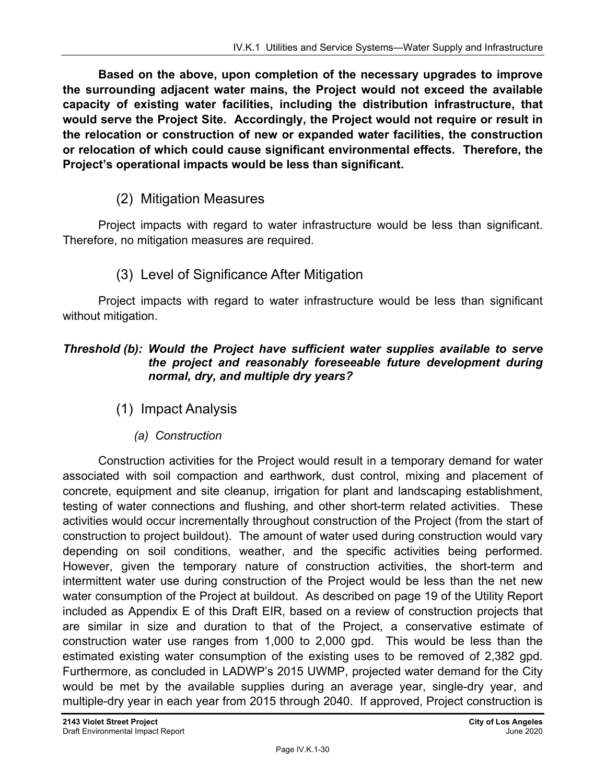**Based on the above, upon completion of the necessary upgrades to improve the surrounding adjacent water mains, the Project would not exceed the available capacity of existing water facilities, including the distribution infrastructure, that would serve the Project Site. Accordingly, the Project would not require or result in the relocation or construction of new or expanded water facilities, the construction or relocation of which could cause significant environmental effects. Therefore, the Project's operational impacts would be less than significant.** 

#### (2) Mitigation Measures

Project impacts with regard to water infrastructure would be less than significant. Therefore, no mitigation measures are required.

#### (3) Level of Significance After Mitigation

Project impacts with regard to water infrastructure would be less than significant without mitigation.

#### *Threshold (b): Would the Project have sufficient water supplies available to serve the project and reasonably foreseeable future development during normal, dry, and multiple dry years?*

- (1) Impact Analysis
	- *(a) Construction*

Construction activities for the Project would result in a temporary demand for water associated with soil compaction and earthwork, dust control, mixing and placement of concrete, equipment and site cleanup, irrigation for plant and landscaping establishment, testing of water connections and flushing, and other short-term related activities. These activities would occur incrementally throughout construction of the Project (from the start of construction to project buildout). The amount of water used during construction would vary depending on soil conditions, weather, and the specific activities being performed. However, given the temporary nature of construction activities, the short-term and intermittent water use during construction of the Project would be less than the net new water consumption of the Project at buildout. As described on page 19 of the Utility Report included as Appendix E of this Draft EIR, based on a review of construction projects that are similar in size and duration to that of the Project, a conservative estimate of construction water use ranges from 1,000 to 2,000 gpd. This would be less than the estimated existing water consumption of the existing uses to be removed of 2,382 gpd. Furthermore, as concluded in LADWP's 2015 UWMP, projected water demand for the City would be met by the available supplies during an average year, single-dry year, and multiple-dry year in each year from 2015 through 2040. If approved, Project construction is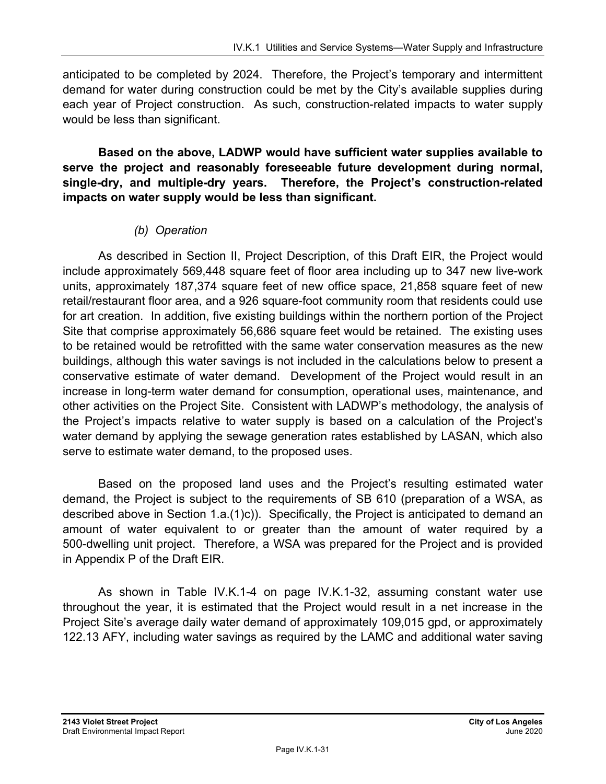anticipated to be completed by 2024. Therefore, the Project's temporary and intermittent demand for water during construction could be met by the City's available supplies during each year of Project construction. As such, construction-related impacts to water supply would be less than significant.

**Based on the above, LADWP would have sufficient water supplies available to serve the project and reasonably foreseeable future development during normal, single-dry, and multiple-dry years. Therefore, the Project's construction-related impacts on water supply would be less than significant.** 

### *(b) Operation*

As described in Section II, Project Description, of this Draft EIR, the Project would include approximately 569,448 square feet of floor area including up to 347 new live-work units, approximately 187,374 square feet of new office space, 21,858 square feet of new retail/restaurant floor area, and a 926 square-foot community room that residents could use for art creation. In addition, five existing buildings within the northern portion of the Project Site that comprise approximately 56,686 square feet would be retained. The existing uses to be retained would be retrofitted with the same water conservation measures as the new buildings, although this water savings is not included in the calculations below to present a conservative estimate of water demand. Development of the Project would result in an increase in long-term water demand for consumption, operational uses, maintenance, and other activities on the Project Site. Consistent with LADWP's methodology, the analysis of the Project's impacts relative to water supply is based on a calculation of the Project's water demand by applying the sewage generation rates established by LASAN, which also serve to estimate water demand, to the proposed uses.

Based on the proposed land uses and the Project's resulting estimated water demand, the Project is subject to the requirements of SB 610 (preparation of a WSA, as described above in Section 1.a.(1)c)). Specifically, the Project is anticipated to demand an amount of water equivalent to or greater than the amount of water required by a 500-dwelling unit project. Therefore, a WSA was prepared for the Project and is provided in Appendix P of the Draft EIR.

As shown in Table IV.K.1-4 on page IV.K.1-32, assuming constant water use throughout the year, it is estimated that the Project would result in a net increase in the Project Site's average daily water demand of approximately 109,015 gpd, or approximately 122.13 AFY, including water savings as required by the LAMC and additional water saving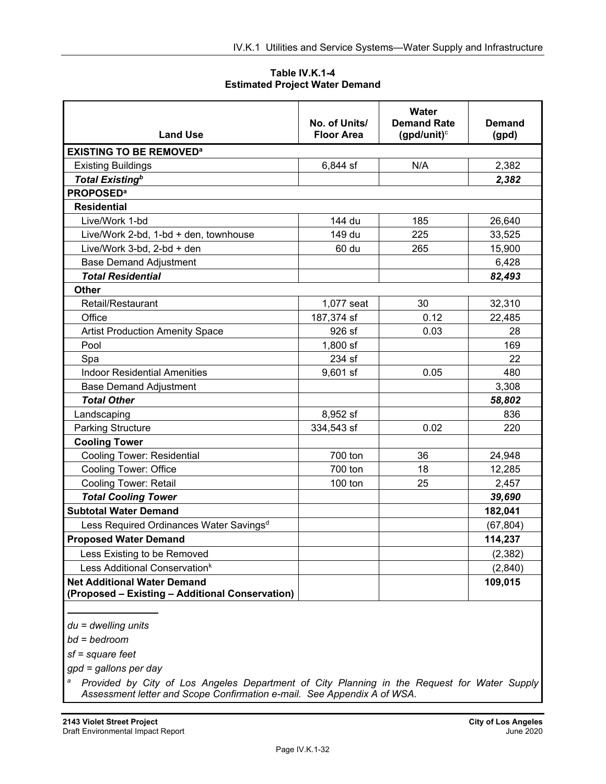**Table IV.K.1-4 Estimated Project Water Demand** 

|                                                                                       | No. of Units/     | Water<br><b>Demand Rate</b> | <b>Demand</b> |
|---------------------------------------------------------------------------------------|-------------------|-----------------------------|---------------|
| <b>Land Use</b>                                                                       | <b>Floor Area</b> | (gpd/unit) $\circ$          | (gpd)         |
| <b>EXISTING TO BE REMOVED<sup>a</sup></b>                                             |                   |                             |               |
| <b>Existing Buildings</b>                                                             | 6,844 sf          | N/A                         | 2,382         |
| <b>Total Existing</b> <sup>b</sup>                                                    |                   |                             | 2,382         |
| <b>PROPOSED<sup>a</sup></b>                                                           |                   |                             |               |
| <b>Residential</b>                                                                    |                   |                             |               |
| Live/Work 1-bd                                                                        | 144 du            | 185                         | 26,640        |
| Live/Work 2-bd, 1-bd + den, townhouse                                                 | 149 du            | 225                         | 33,525        |
| Live/Work 3-bd, 2-bd + den                                                            | 60 du             | 265                         | 15,900        |
| <b>Base Demand Adjustment</b>                                                         |                   |                             | 6,428         |
| <b>Total Residential</b>                                                              |                   |                             | 82,493        |
| <b>Other</b>                                                                          |                   |                             |               |
| Retail/Restaurant                                                                     | 1,077 seat        | 30                          | 32,310        |
| Office                                                                                | 187,374 sf        | 0.12                        | 22,485        |
| <b>Artist Production Amenity Space</b>                                                | 926 sf            | 0.03                        | 28            |
| Pool                                                                                  | $1,800$ sf        |                             | 169           |
| Spa                                                                                   | 234 sf            |                             | 22            |
| <b>Indoor Residential Amenities</b>                                                   | 9,601 sf          | 0.05                        | 480           |
| <b>Base Demand Adjustment</b>                                                         |                   |                             | 3,308         |
| <b>Total Other</b>                                                                    |                   |                             | 58,802        |
| Landscaping                                                                           | 8,952 sf          |                             | 836           |
| <b>Parking Structure</b>                                                              | 334,543 sf        | 0.02                        | 220           |
| <b>Cooling Tower</b>                                                                  |                   |                             |               |
| <b>Cooling Tower: Residential</b>                                                     | 700 ton           | 36                          | 24,948        |
| <b>Cooling Tower: Office</b>                                                          | 700 ton           | 18                          | 12,285        |
| <b>Cooling Tower: Retail</b>                                                          | 100 ton           | 25                          | 2,457         |
| <b>Total Cooling Tower</b>                                                            |                   |                             | 39,690        |
| <b>Subtotal Water Demand</b>                                                          |                   |                             | 182,041       |
| Less Required Ordinances Water Savings <sup>d</sup>                                   |                   |                             | (67, 804)     |
| <b>Proposed Water Demand</b>                                                          |                   |                             | 114,237       |
| Less Existing to be Removed                                                           |                   |                             | (2, 382)      |
| Less Additional Conservation <sup>k</sup>                                             |                   |                             | (2,840)       |
| <b>Net Additional Water Demand</b><br>(Proposed - Existing - Additional Conservation) |                   |                             | 109,015       |

*du = dwelling units* 

*bd = bedroom* 

 $\overline{a}$ 

*sf = square feet* 

*gpd = gallons per day* 

*a Provided by City of Los Angeles Department of City Planning in the Request for Water Supply Assessment letter and Scope Confirmation e-mail. See Appendix A of WSA.*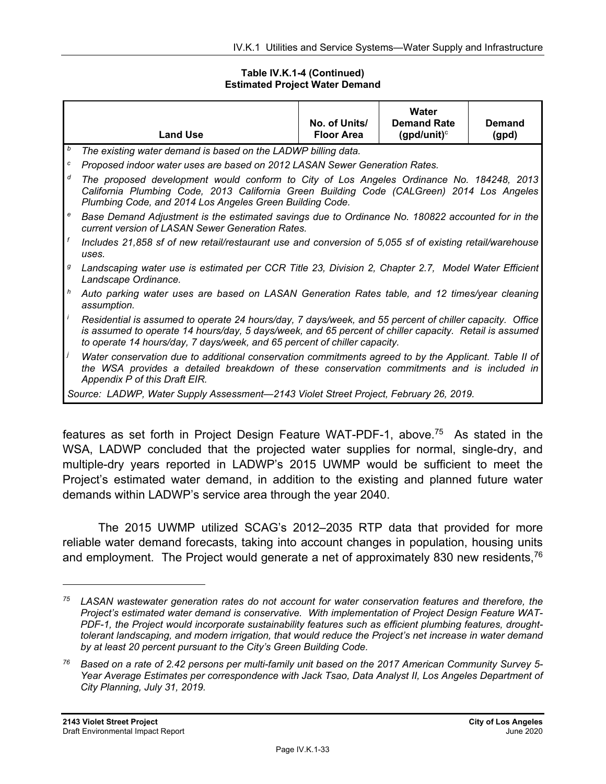#### **Table IV.K.1-4 (Continued) Estimated Project Water Demand**

|   | <b>Land Use</b>                                                                                                                                                                                                                                                                                | No. of Units/<br><b>Floor Area</b> | Water<br><b>Demand Rate</b><br>(gpd/unit) $\circ$ | Demand<br>(gpd) |  |
|---|------------------------------------------------------------------------------------------------------------------------------------------------------------------------------------------------------------------------------------------------------------------------------------------------|------------------------------------|---------------------------------------------------|-----------------|--|
| b | The existing water demand is based on the LADWP billing data.                                                                                                                                                                                                                                  |                                    |                                                   |                 |  |
| с | Proposed indoor water uses are based on 2012 LASAN Sewer Generation Rates.                                                                                                                                                                                                                     |                                    |                                                   |                 |  |
| d | The proposed development would conform to City of Los Angeles Ordinance No. 184248, 2013<br>California Plumbing Code, 2013 California Green Building Code (CALGreen) 2014 Los Angeles<br>Plumbing Code, and 2014 Los Angeles Green Building Code.                                              |                                    |                                                   |                 |  |
| e | Base Demand Adjustment is the estimated savings due to Ordinance No. 180822 accounted for in the<br>current version of LASAN Sewer Generation Rates.                                                                                                                                           |                                    |                                                   |                 |  |
| f | Includes 21,858 sf of new retail/restaurant use and conversion of 5,055 sf of existing retail/warehouse<br>uses.                                                                                                                                                                               |                                    |                                                   |                 |  |
| g | Landscaping water use is estimated per CCR Title 23, Division 2, Chapter 2.7, Model Water Efficient<br>Landscape Ordinance.                                                                                                                                                                    |                                    |                                                   |                 |  |
| h | Auto parking water uses are based on LASAN Generation Rates table, and 12 times/year cleaning<br>assumption.                                                                                                                                                                                   |                                    |                                                   |                 |  |
|   | Residential is assumed to operate 24 hours/day, 7 days/week, and 55 percent of chiller capacity. Office<br>is assumed to operate 14 hours/day, 5 days/week, and 65 percent of chiller capacity. Retail is assumed<br>to operate 14 hours/day, 7 days/week, and 65 percent of chiller capacity. |                                    |                                                   |                 |  |
| Ĵ | Water conservation due to additional conservation commitments agreed to by the Applicant. Table II of<br>the WSA provides a detailed breakdown of these conservation commitments and is included in<br>Appendix P of this Draft EIR.                                                           |                                    |                                                   |                 |  |
|   | Source: LADWP, Water Supply Assessment—2143 Violet Street Project, February 26, 2019.                                                                                                                                                                                                          |                                    |                                                   |                 |  |

features as set forth in Project Design Feature WAT-PDF-1, above.75 As stated in the WSA, LADWP concluded that the projected water supplies for normal, single-dry, and multiple-dry years reported in LADWP's 2015 UWMP would be sufficient to meet the Project's estimated water demand, in addition to the existing and planned future water demands within LADWP's service area through the year 2040.

The 2015 UWMP utilized SCAG's 2012–2035 RTP data that provided for more reliable water demand forecasts, taking into account changes in population, housing units and employment. The Project would generate a net of approximately 830 new residents,  $76$ 

*<sup>75</sup> LASAN wastewater generation rates do not account for water conservation features and therefore, the Project's estimated water demand is conservative. With implementation of Project Design Feature WAT-PDF-1, the Project would incorporate sustainability features such as efficient plumbing features, droughttolerant landscaping, and modern irrigation, that would reduce the Project's net increase in water demand by at least 20 percent pursuant to the City's Green Building Code.* 

*<sup>76</sup> Based on a rate of 2.42 persons per multi-family unit based on the 2017 American Community Survey 5- Year Average Estimates per correspondence with Jack Tsao, Data Analyst II, Los Angeles Department of City Planning, July 31, 2019.*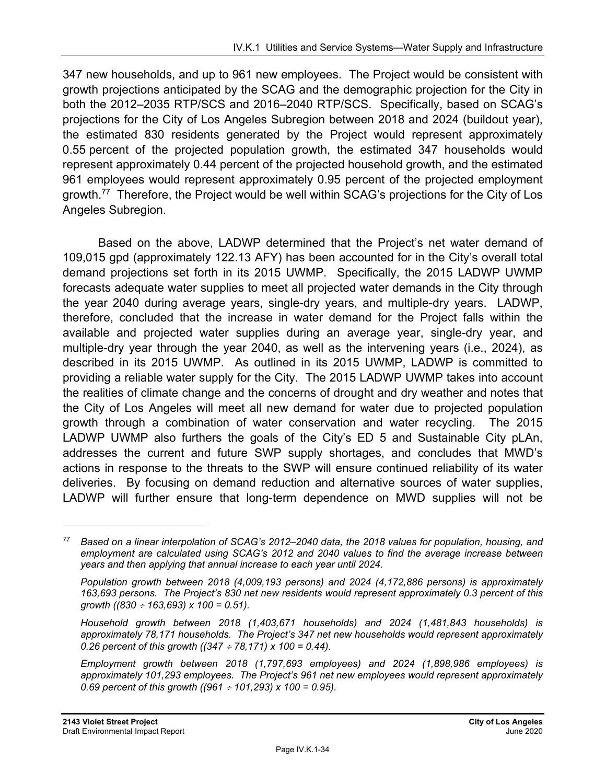347 new households, and up to 961 new employees. The Project would be consistent with growth projections anticipated by the SCAG and the demographic projection for the City in both the 2012–2035 RTP/SCS and 2016–2040 RTP/SCS. Specifically, based on SCAG's projections for the City of Los Angeles Subregion between 2018 and 2024 (buildout year), the estimated 830 residents generated by the Project would represent approximately 0.55 percent of the projected population growth, the estimated 347 households would represent approximately 0.44 percent of the projected household growth, and the estimated 961 employees would represent approximately 0.95 percent of the projected employment growth.77 Therefore, the Project would be well within SCAG's projections for the City of Los Angeles Subregion.

Based on the above, LADWP determined that the Project's net water demand of 109,015 gpd (approximately 122.13 AFY) has been accounted for in the City's overall total demand projections set forth in its 2015 UWMP. Specifically, the 2015 LADWP UWMP forecasts adequate water supplies to meet all projected water demands in the City through the year 2040 during average years, single-dry years, and multiple-dry years. LADWP, therefore, concluded that the increase in water demand for the Project falls within the available and projected water supplies during an average year, single-dry year, and multiple-dry year through the year 2040, as well as the intervening years (i.e., 2024), as described in its 2015 UWMP. As outlined in its 2015 UWMP, LADWP is committed to providing a reliable water supply for the City. The 2015 LADWP UWMP takes into account the realities of climate change and the concerns of drought and dry weather and notes that the City of Los Angeles will meet all new demand for water due to projected population growth through a combination of water conservation and water recycling. The 2015 LADWP UWMP also furthers the goals of the City's ED 5 and Sustainable City pLAn, addresses the current and future SWP supply shortages, and concludes that MWD's actions in response to the threats to the SWP will ensure continued reliability of its water deliveries. By focusing on demand reduction and alternative sources of water supplies, LADWP will further ensure that long-term dependence on MWD supplies will not be

*<sup>77</sup> Based on a linear interpolation of SCAG's 2012–2040 data, the 2018 values for population, housing, and employment are calculated using SCAG's 2012 and 2040 values to find the average increase between years and then applying that annual increase to each year until 2024.* 

*Population growth between 2018 (4,009,193 persons) and 2024 (4,172,886 persons) is approximately 163,693 persons. The Project's 830 net new residents would represent approximately 0.3 percent of this growth ((830 163,693) x 100 = 0.51).* 

*Household growth between 2018 (1,403,671 households) and 2024 (1,481,843 households) is approximately 78,171 households. The Project's 347 net new households would represent approximately 0.26 percent of this growth ((347 78,171) x 100 = 0.44).* 

*Employment growth between 2018 (1,797,693 employees) and 2024 (1,898,986 employees) is approximately 101,293 employees. The Project's 961 net new employees would represent approximately 0.69 percent of this growth ((961 101,293) x 100 = 0.95).*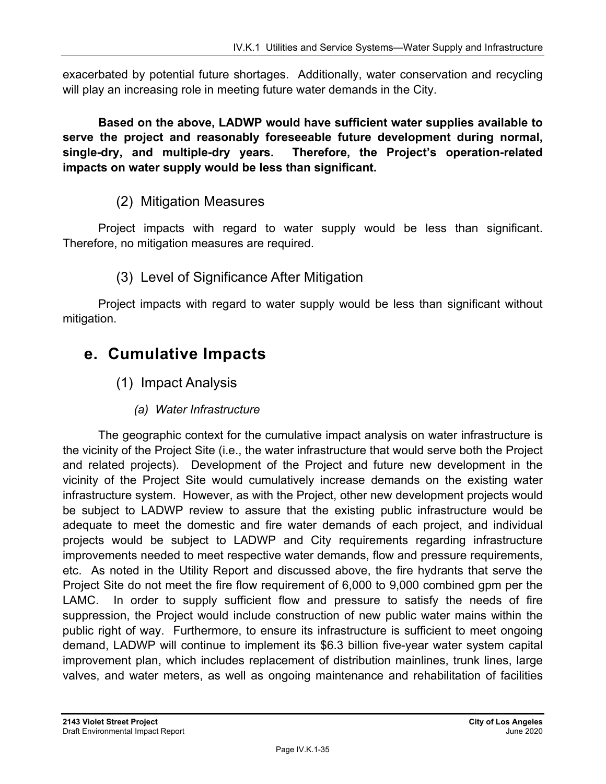exacerbated by potential future shortages. Additionally, water conservation and recycling will play an increasing role in meeting future water demands in the City.

**Based on the above, LADWP would have sufficient water supplies available to serve the project and reasonably foreseeable future development during normal, single-dry, and multiple-dry years. Therefore, the Project's operation-related impacts on water supply would be less than significant.** 

### (2) Mitigation Measures

Project impacts with regard to water supply would be less than significant. Therefore, no mitigation measures are required.

### (3) Level of Significance After Mitigation

Project impacts with regard to water supply would be less than significant without mitigation.

## **e. Cumulative Impacts**

- (1) Impact Analysis
	- *(a) Water Infrastructure*

The geographic context for the cumulative impact analysis on water infrastructure is the vicinity of the Project Site (i.e., the water infrastructure that would serve both the Project and related projects). Development of the Project and future new development in the vicinity of the Project Site would cumulatively increase demands on the existing water infrastructure system. However, as with the Project, other new development projects would be subject to LADWP review to assure that the existing public infrastructure would be adequate to meet the domestic and fire water demands of each project, and individual projects would be subject to LADWP and City requirements regarding infrastructure improvements needed to meet respective water demands, flow and pressure requirements, etc. As noted in the Utility Report and discussed above, the fire hydrants that serve the Project Site do not meet the fire flow requirement of 6,000 to 9,000 combined gpm per the LAMC. In order to supply sufficient flow and pressure to satisfy the needs of fire suppression, the Project would include construction of new public water mains within the public right of way. Furthermore, to ensure its infrastructure is sufficient to meet ongoing demand, LADWP will continue to implement its \$6.3 billion five-year water system capital improvement plan, which includes replacement of distribution mainlines, trunk lines, large valves, and water meters, as well as ongoing maintenance and rehabilitation of facilities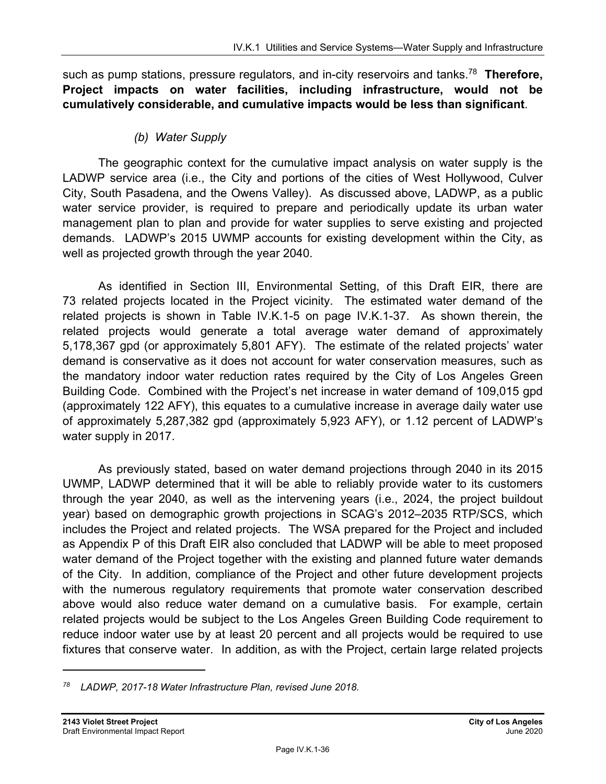such as pump stations, pressure regulators, and in-city reservoirs and tanks.78 **Therefore, Project impacts on water facilities, including infrastructure, would not be cumulatively considerable, and cumulative impacts would be less than significant**.

#### *(b) Water Supply*

The geographic context for the cumulative impact analysis on water supply is the LADWP service area (i.e., the City and portions of the cities of West Hollywood, Culver City, South Pasadena, and the Owens Valley). As discussed above, LADWP, as a public water service provider, is required to prepare and periodically update its urban water management plan to plan and provide for water supplies to serve existing and projected demands. LADWP's 2015 UWMP accounts for existing development within the City, as well as projected growth through the year 2040.

As identified in Section III, Environmental Setting, of this Draft EIR, there are 73 related projects located in the Project vicinity. The estimated water demand of the related projects is shown in Table IV.K.1-5 on page IV.K.1-37. As shown therein, the related projects would generate a total average water demand of approximately 5,178,367 gpd (or approximately 5,801 AFY). The estimate of the related projects' water demand is conservative as it does not account for water conservation measures, such as the mandatory indoor water reduction rates required by the City of Los Angeles Green Building Code. Combined with the Project's net increase in water demand of 109,015 gpd (approximately 122 AFY), this equates to a cumulative increase in average daily water use of approximately 5,287,382 gpd (approximately 5,923 AFY), or 1.12 percent of LADWP's water supply in 2017.

As previously stated, based on water demand projections through 2040 in its 2015 UWMP, LADWP determined that it will be able to reliably provide water to its customers through the year 2040, as well as the intervening years (i.e., 2024, the project buildout year) based on demographic growth projections in SCAG's 2012–2035 RTP/SCS, which includes the Project and related projects. The WSA prepared for the Project and included as Appendix P of this Draft EIR also concluded that LADWP will be able to meet proposed water demand of the Project together with the existing and planned future water demands of the City. In addition, compliance of the Project and other future development projects with the numerous regulatory requirements that promote water conservation described above would also reduce water demand on a cumulative basis. For example, certain related projects would be subject to the Los Angeles Green Building Code requirement to reduce indoor water use by at least 20 percent and all projects would be required to use fixtures that conserve water. In addition, as with the Project, certain large related projects

*<sup>78</sup> LADWP, 2017-18 Water Infrastructure Plan, revised June 2018.*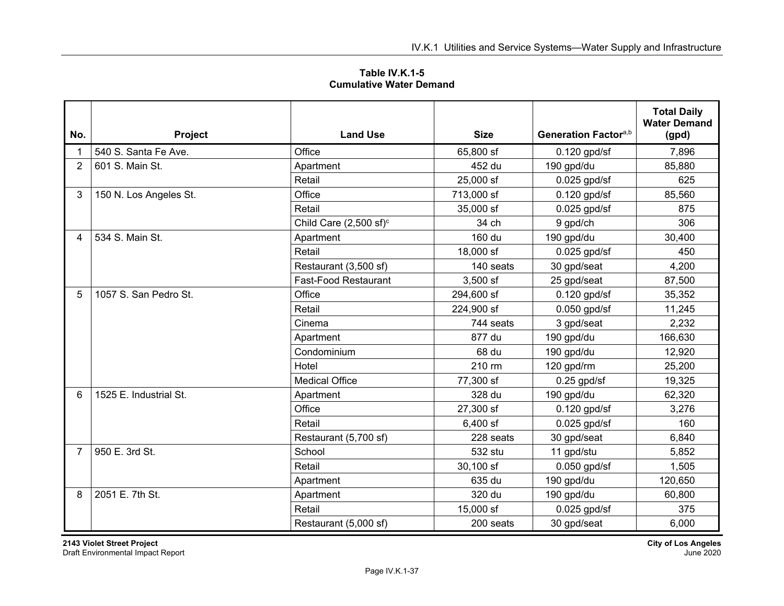| Table IV.K.1-5                 |  |
|--------------------------------|--|
| <b>Cumulative Water Demand</b> |  |

| No.            | Project                | <b>Land Use</b>                   | <b>Size</b> | Generation Factor <sup>a,b</sup> | <b>Total Daily</b><br><b>Water Demand</b><br>(gpd) |
|----------------|------------------------|-----------------------------------|-------------|----------------------------------|----------------------------------------------------|
|                | 540 S. Santa Fe Ave.   | Office                            | 65,800 sf   | $0.120$ gpd/sf                   | 7,896                                              |
| $\overline{2}$ | 601 S. Main St.        | Apartment                         | 452 du      | 190 gpd/du                       | 85,880                                             |
|                |                        | Retail                            | 25,000 sf   | $0.025$ gpd/sf                   | 625                                                |
| 3              | 150 N. Los Angeles St. | Office                            | 713,000 sf  | $0.120$ gpd/sf                   | 85,560                                             |
|                |                        | Retail                            | 35,000 sf   | $0.025$ gpd/sf                   | 875                                                |
|                |                        | Child Care $(2,500 \text{ sf})^c$ | 34 ch       | 9 gpd/ch                         | 306                                                |
| 4              | 534 S. Main St.        | Apartment                         | 160 du      | 190 gpd/du                       | 30,400                                             |
|                |                        | Retail                            | 18,000 sf   | $0.025$ gpd/sf                   | 450                                                |
|                |                        | Restaurant (3,500 sf)             | 140 seats   | 30 gpd/seat                      | 4,200                                              |
|                |                        | <b>Fast-Food Restaurant</b>       | 3,500 sf    | 25 gpd/seat                      | 87,500                                             |
| 5              | 1057 S. San Pedro St.  | Office                            | 294,600 sf  | $0.120$ gpd/sf                   | 35,352                                             |
|                |                        | Retail                            | 224,900 sf  | $0.050$ gpd/sf                   | 11,245                                             |
|                |                        | Cinema                            | 744 seats   | 3 gpd/seat                       | 2,232                                              |
|                |                        | Apartment                         | 877 du      | 190 gpd/du                       | 166,630                                            |
|                |                        | Condominium                       | 68 du       | 190 gpd/du                       | 12,920                                             |
|                |                        | Hotel                             | 210 rm      | 120 gpd/rm                       | 25,200                                             |
|                |                        | <b>Medical Office</b>             | 77,300 sf   | $0.25$ gpd/sf                    | 19,325                                             |
| 6              | 1525 E. Industrial St. | Apartment                         | 328 du      | 190 gpd/du                       | 62,320                                             |
|                |                        | Office                            | 27,300 sf   | $0.120$ gpd/sf                   | 3,276                                              |
|                |                        | Retail                            | 6,400 sf    | $0.025$ gpd/sf                   | 160                                                |
|                |                        | Restaurant (5,700 sf)             | 228 seats   | 30 gpd/seat                      | 6,840                                              |
| $\overline{7}$ | 950 E. 3rd St.         | School                            | 532 stu     | 11 gpd/stu                       | 5,852                                              |
|                |                        | Retail                            | 30,100 sf   | $0.050$ gpd/sf                   | 1,505                                              |
|                |                        | Apartment                         | 635 du      | 190 gpd/du                       | 120,650                                            |
| 8              | 2051 E. 7th St.        | Apartment                         | 320 du      | 190 gpd/du                       | 60,800                                             |
|                |                        | Retail                            | 15,000 sf   | $0.025$ gpd/sf                   | 375                                                |
|                |                        | Restaurant (5,000 sf)             | 200 seats   | 30 gpd/seat                      | 6,000                                              |

**2143 Violet Street Project City of Los Angeles**  Draft Environmental Impact Report June 2020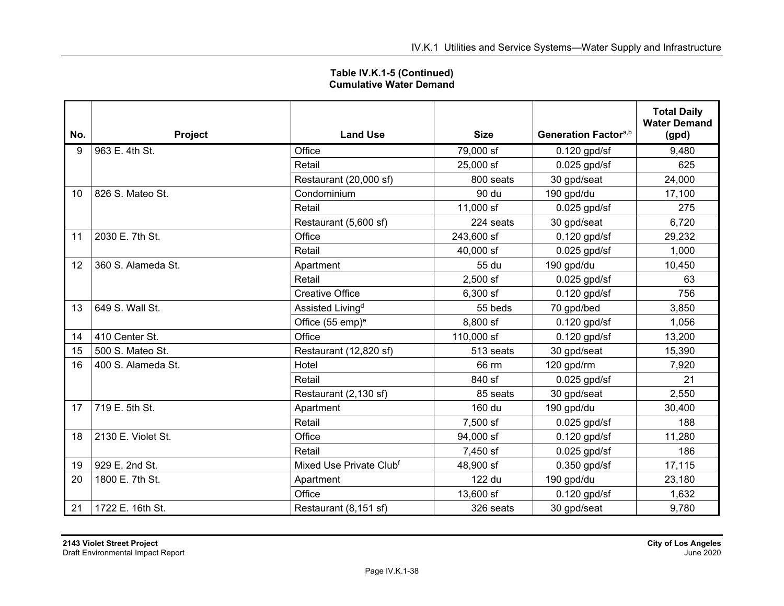| Table IV.K.1-5 (Continued)     |  |
|--------------------------------|--|
| <b>Cumulative Water Demand</b> |  |

| No. | Project            | <b>Land Use</b>              | <b>Size</b> | Generation Factora,b | <b>Total Daily</b><br><b>Water Demand</b><br>(gpd) |
|-----|--------------------|------------------------------|-------------|----------------------|----------------------------------------------------|
| 9   | 963 E. 4th St.     | Office                       | 79,000 sf   | 0.120 gpd/sf         | 9,480                                              |
|     |                    | Retail                       | 25,000 sf   | $0.025$ gpd/sf       | 625                                                |
|     |                    | Restaurant (20,000 sf)       | 800 seats   | 30 gpd/seat          | 24,000                                             |
| 10  | 826 S. Mateo St.   | Condominium                  | 90 du       | 190 gpd/du           | 17,100                                             |
|     |                    | Retail                       | 11,000 sf   | $0.025$ gpd/sf       | 275                                                |
|     |                    | Restaurant (5,600 sf)        | 224 seats   | 30 gpd/seat          | 6,720                                              |
| 11  | 2030 E. 7th St.    | Office                       | 243,600 sf  | $0.120$ gpd/sf       | 29,232                                             |
|     |                    | Retail                       | 40,000 sf   | $0.025$ gpd/sf       | 1,000                                              |
| 12  | 360 S. Alameda St. | Apartment                    | 55 du       | 190 gpd/du           | 10,450                                             |
|     |                    | Retail                       | $2,500$ sf  | $0.025$ gpd/sf       | 63                                                 |
|     |                    | <b>Creative Office</b>       | 6,300 sf    | $0.120$ gpd/sf       | 756                                                |
| 13  | 649 S. Wall St.    | Assisted Living <sup>d</sup> | 55 beds     | 70 gpd/bed           | 3,850                                              |
|     |                    | Office (55 emp) <sup>e</sup> | 8,800 sf    | $0.120$ gpd/sf       | 1,056                                              |
| 14  | 410 Center St.     | Office                       | 110,000 sf  | $0.120$ gpd/sf       | 13,200                                             |
| 15  | 500 S. Mateo St.   | Restaurant (12,820 sf)       | 513 seats   | 30 gpd/seat          | 15,390                                             |
| 16  | 400 S. Alameda St. | Hotel                        | 66 rm       | 120 gpd/rm           | 7,920                                              |
|     |                    | Retail                       | 840 sf      | $0.025$ gpd/sf       | 21                                                 |
|     |                    | Restaurant (2,130 sf)        | 85 seats    | 30 gpd/seat          | 2,550                                              |
| 17  | 719 E. 5th St.     | Apartment                    | 160 du      | 190 gpd/du           | 30,400                                             |
|     |                    | Retail                       | 7,500 sf    | $0.025$ gpd/sf       | 188                                                |
| 18  | 2130 E. Violet St. | Office                       | 94,000 sf   | $0.120$ gpd/sf       | 11,280                                             |
|     |                    | Retail                       | 7,450 sf    | $0.025$ gpd/sf       | 186                                                |
| 19  | 929 E. 2nd St.     | Mixed Use Private Clubf      | 48,900 sf   | 0.350 gpd/sf         | 17,115                                             |
| 20  | 1800 E. 7th St.    | Apartment                    | 122 du      | 190 gpd/du           | 23,180                                             |
|     |                    | Office                       | 13,600 sf   | $0.120$ gpd/sf       | 1,632                                              |
| 21  | 1722 E. 16th St.   | Restaurant (8,151 sf)        | 326 seats   | 30 gpd/seat          | 9,780                                              |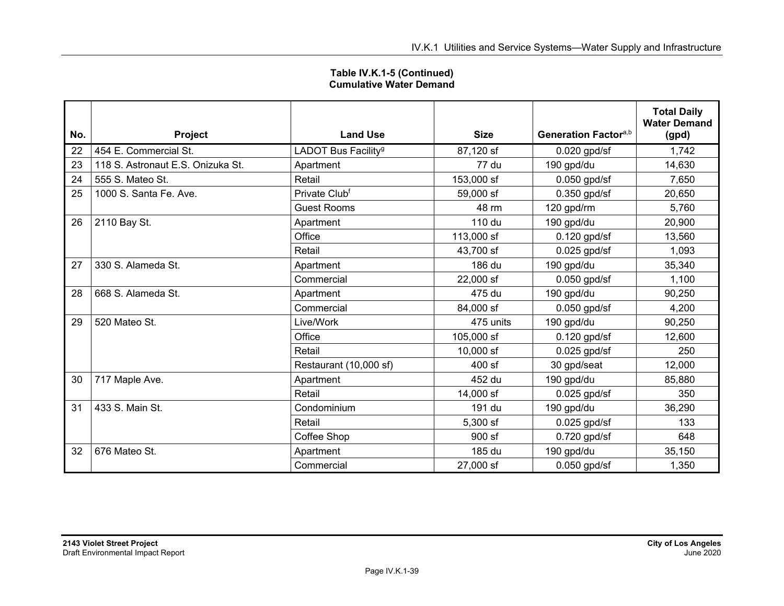|     |                                   |                                 |             |                                  | <b>Total Daily</b>  |
|-----|-----------------------------------|---------------------------------|-------------|----------------------------------|---------------------|
|     |                                   |                                 |             |                                  | <b>Water Demand</b> |
| No. | Project                           | <b>Land Use</b>                 | <b>Size</b> | Generation Factor <sup>a,b</sup> | (gpd)               |
| 22  | 454 E. Commercial St.             | LADOT Bus Facility <sup>g</sup> | 87,120 sf   | $0.020$ gpd/sf                   | 1,742               |
| 23  | 118 S. Astronaut E.S. Onizuka St. | Apartment                       | 77 du       | 190 gpd/du                       | 14,630              |
| 24  | 555 S. Mateo St.                  | Retail                          | 153,000 sf  | $0.050$ gpd/sf                   | 7,650               |
| 25  | 1000 S. Santa Fe. Ave.            | Private Clubf                   | 59,000 sf   | $0.350$ gpd/sf                   | 20,650              |
|     |                                   | <b>Guest Rooms</b>              | 48 rm       | 120 gpd/rm                       | 5,760               |
| 26  | 2110 Bay St.                      | Apartment                       | 110 du      | 190 gpd/du                       | 20,900              |
|     |                                   | Office                          | 113,000 sf  | $0.120$ gpd/sf                   | 13,560              |
|     |                                   | Retail                          | 43,700 sf   | $0.025$ gpd/sf                   | 1,093               |
| 27  | 330 S. Alameda St.                | Apartment                       | 186 du      | 190 gpd/du                       | 35,340              |
|     |                                   | Commercial                      | 22,000 sf   | $0.050$ gpd/sf                   | 1,100               |
| 28  | 668 S. Alameda St.                | Apartment                       | 475 du      | 190 gpd/du                       | 90,250              |
|     |                                   | Commercial                      | 84,000 sf   | $0.050$ gpd/sf                   | 4,200               |
| 29  | 520 Mateo St.                     | Live/Work                       | 475 units   | 190 gpd/du                       | 90,250              |
|     |                                   | Office                          | 105,000 sf  | $0.120$ gpd/sf                   | 12,600              |
|     |                                   | Retail                          | 10,000 sf   | $0.025$ gpd/sf                   | 250                 |
|     |                                   | Restaurant (10,000 sf)          | 400 sf      | 30 gpd/seat                      | 12,000              |
| 30  | 717 Maple Ave.                    | Apartment                       | 452 du      | 190 gpd/du                       | 85,880              |
|     |                                   | Retail                          | 14,000 sf   | $0.025$ gpd/sf                   | 350                 |
| 31  | 433 S. Main St.                   | Condominium                     | 191 du      | 190 gpd/du                       | 36,290              |
|     |                                   | Retail                          | 5,300 sf    | $0.025$ gpd/sf                   | 133                 |
|     |                                   | Coffee Shop                     | 900 sf      | $0.720$ gpd/sf                   | 648                 |
| 32  | 676 Mateo St.                     | Apartment                       | 185 du      | 190 gpd/du                       | 35,150              |
|     |                                   | Commercial                      | 27,000 sf   | $0.050$ gpd/sf                   | 1,350               |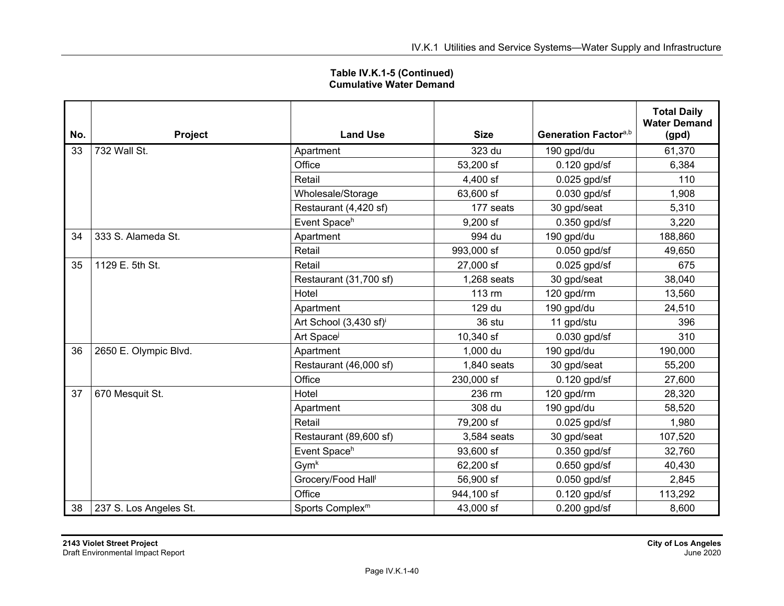| No. | <b>Project</b>         | <b>Land Use</b>                    | <b>Size</b> | Generation Factora,b | <b>Total Daily</b><br><b>Water Demand</b><br>(gpd) |
|-----|------------------------|------------------------------------|-------------|----------------------|----------------------------------------------------|
| 33  | 732 Wall St.           | Apartment                          | 323 du      | 190 gpd/du           | 61,370                                             |
|     |                        | Office                             | 53,200 sf   | $0.120$ gpd/sf       | 6,384                                              |
|     |                        | Retail                             | 4,400 sf    | $0.025$ gpd/sf       | 110                                                |
|     |                        | Wholesale/Storage                  | 63,600 sf   | $0.030$ gpd/sf       | 1,908                                              |
|     |                        | Restaurant (4,420 sf)              | 177 seats   | 30 gpd/seat          | 5,310                                              |
|     |                        | Event Spaceh                       | $9,200$ sf  | $0.350$ gpd/sf       | 3,220                                              |
| 34  | 333 S. Alameda St.     | Apartment                          | 994 du      | 190 gpd/du           | 188,860                                            |
|     |                        | Retail                             | 993,000 sf  | $0.050$ gpd/sf       | 49,650                                             |
| 35  | 1129 E. 5th St.        | Retail                             | 27,000 sf   | $0.025$ gpd/sf       | 675                                                |
|     |                        | Restaurant (31,700 sf)             | 1,268 seats | 30 gpd/seat          | 38,040                                             |
|     |                        | Hotel                              | 113 rm      | 120 gpd/rm           | 13,560                                             |
|     |                        | Apartment                          | 129 du      | 190 gpd/du           | 24,510                                             |
|     |                        | Art School (3,430 sf) <sup>i</sup> | 36 stu      | 11 gpd/stu           | 396                                                |
|     |                        | Art Space                          | 10,340 sf   | $0.030$ gpd/sf       | 310                                                |
| 36  | 2650 E. Olympic Blvd.  | Apartment                          | 1,000 du    | 190 gpd/du           | 190,000                                            |
|     |                        | Restaurant (46,000 sf)             | 1,840 seats | 30 gpd/seat          | 55,200                                             |
|     |                        | Office                             | 230,000 sf  | $0.120$ gpd/sf       | 27,600                                             |
| 37  | 670 Mesquit St.        | Hotel                              | 236 rm      | 120 gpd/rm           | 28,320                                             |
|     |                        | Apartment                          | 308 du      | 190 gpd/du           | 58,520                                             |
|     |                        | Retail                             | 79,200 sf   | $0.025$ gpd/sf       | 1,980                                              |
|     |                        | Restaurant (89,600 sf)             | 3,584 seats | 30 gpd/seat          | 107,520                                            |
|     |                        | Event Spaceh                       | 93,600 sf   | $0.350$ gpd/sf       | 32,760                                             |
|     |                        | Gym <sup>k</sup>                   | 62,200 sf   | $0.650$ gpd/sf       | 40,430                                             |
|     |                        | Grocery/Food Hall <sup>l</sup>     | 56,900 sf   | $0.050$ gpd/sf       | 2,845                                              |
|     |                        | Office                             | 944,100 sf  | $0.120$ gpd/sf       | 113,292                                            |
| 38  | 237 S. Los Angeles St. | Sports Complex <sup>m</sup>        | 43,000 sf   | $0.200$ gpd/sf       | 8,600                                              |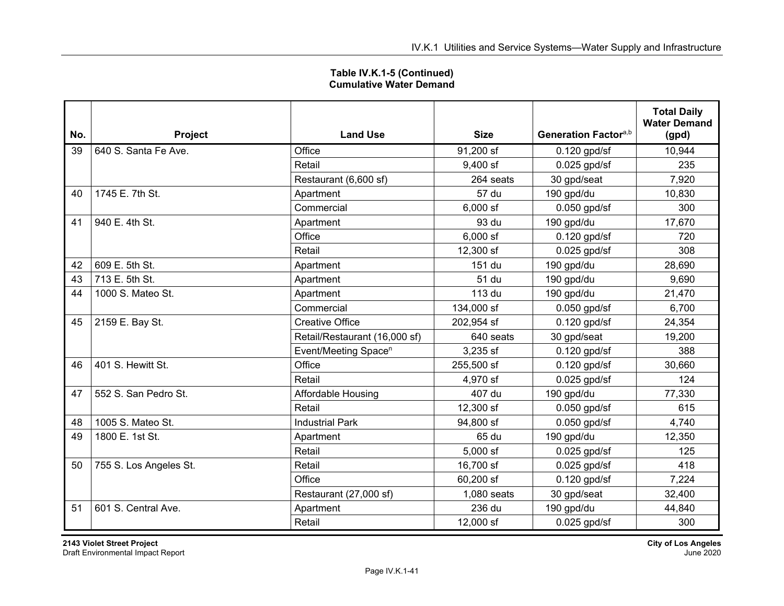| Table IV.K.1-5 (Continued)     |  |
|--------------------------------|--|
| <b>Cumulative Water Demand</b> |  |

| No. | <b>Project</b>         | <b>Land Use</b>                  | <b>Size</b> | Generation Factora,b | <b>Total Daily</b><br><b>Water Demand</b><br>(gpd) |
|-----|------------------------|----------------------------------|-------------|----------------------|----------------------------------------------------|
| 39  | 640 S. Santa Fe Ave.   | Office                           | 91,200 sf   | $0.120$ gpd/sf       | 10,944                                             |
|     |                        | Retail                           | $9,400$ sf  | $0.025$ gpd/sf       | 235                                                |
|     |                        | Restaurant (6,600 sf)            | 264 seats   | 30 gpd/seat          | 7,920                                              |
| 40  | 1745 E. 7th St.        | Apartment                        | 57 du       | 190 gpd/du           | 10,830                                             |
|     |                        | Commercial                       | $6,000$ sf  | $0.050$ gpd/sf       | 300                                                |
| 41  | 940 E. 4th St.         | Apartment                        | 93 du       | 190 gpd/du           | 17,670                                             |
|     |                        | Office                           | $6,000$ sf  | $0.120$ gpd/sf       | 720                                                |
|     |                        | Retail                           | 12,300 sf   | $0.025$ gpd/sf       | 308                                                |
| 42  | 609 E. 5th St.         | Apartment                        | 151 du      | 190 gpd/du           | 28,690                                             |
| 43  | 713 E. 5th St.         | Apartment                        | 51 du       | 190 gpd/du           | 9,690                                              |
| 44  | 1000 S. Mateo St.      | Apartment                        | 113 du      | 190 gpd/du           | 21,470                                             |
|     |                        | Commercial                       | 134,000 sf  | $0.050$ gpd/sf       | 6,700                                              |
| 45  | 2159 E. Bay St.        | <b>Creative Office</b>           | 202,954 sf  | $0.120$ gpd/sf       | 24,354                                             |
|     |                        | Retail/Restaurant (16,000 sf)    | 640 seats   | 30 gpd/seat          | 19,200                                             |
|     |                        | Event/Meeting Space <sup>n</sup> | 3,235 sf    | $0.120$ gpd/sf       | 388                                                |
| 46  | 401 S. Hewitt St.      | Office                           | 255,500 sf  | $0.120$ gpd/sf       | 30,660                                             |
|     |                        | Retail                           | 4,970 sf    | $0.025$ gpd/sf       | 124                                                |
| 47  | 552 S. San Pedro St.   | Affordable Housing               | 407 du      | 190 gpd/du           | 77,330                                             |
|     |                        | Retail                           | 12,300 sf   | $0.050$ gpd/sf       | 615                                                |
| 48  | 1005 S. Mateo St.      | <b>Industrial Park</b>           | 94,800 sf   | $0.050$ gpd/sf       | 4,740                                              |
| 49  | 1800 E. 1st St.        | Apartment                        | 65 du       | 190 gpd/du           | 12,350                                             |
|     |                        | Retail                           | $5,000$ sf  | $0.025$ gpd/sf       | 125                                                |
| 50  | 755 S. Los Angeles St. | Retail                           | 16,700 sf   | $0.025$ gpd/sf       | 418                                                |
|     |                        | Office                           | 60,200 sf   | $0.120$ gpd/sf       | 7,224                                              |
|     |                        | Restaurant (27,000 sf)           | 1,080 seats | 30 gpd/seat          | 32,400                                             |
| 51  | 601 S. Central Ave.    | Apartment                        | 236 du      | 190 gpd/du           | 44,840                                             |
|     |                        | Retail                           | 12,000 sf   | $0.025$ gpd/sf       | 300                                                |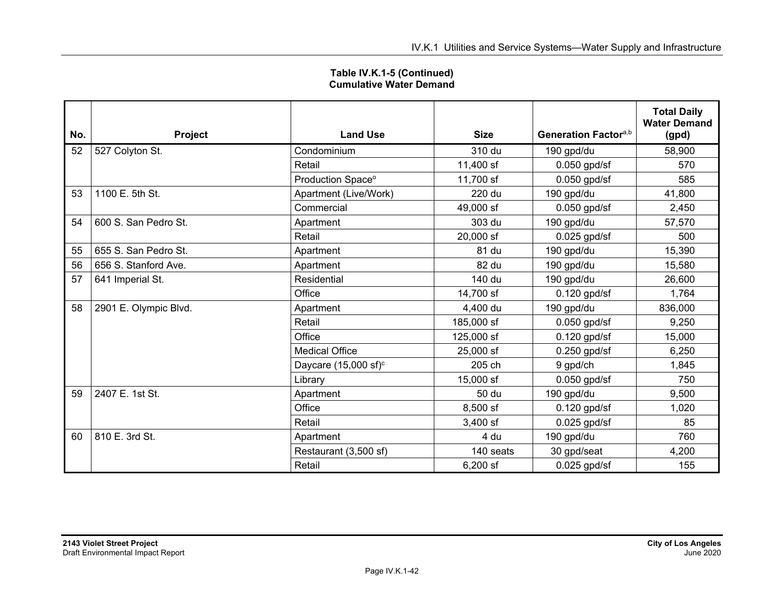| Table IV.K.1-5 (Continued)     |  |
|--------------------------------|--|
| <b>Cumulative Water Demand</b> |  |

| No. | Project               | <b>Land Use</b>                  | <b>Size</b> | Generation Factora,b | <b>Total Daily</b><br><b>Water Demand</b><br>(gpd) |
|-----|-----------------------|----------------------------------|-------------|----------------------|----------------------------------------------------|
| 52  | 527 Colyton St.       | Condominium                      | 310 du      | 190 gpd/du           | 58,900                                             |
|     |                       | Retail                           | 11,400 sf   | $0.050$ gpd/sf       | 570                                                |
|     |                       | Production Space <sup>o</sup>    | 11,700 sf   | $0.050$ gpd/sf       | 585                                                |
| 53  | 1100 E. 5th St.       | Apartment (Live/Work)            | 220 du      | 190 gpd/du           | 41,800                                             |
|     |                       | Commercial                       | 49,000 sf   | $0.050$ gpd/sf       | 2,450                                              |
| 54  | 600 S. San Pedro St.  | Apartment                        | 303 du      | 190 gpd/du           | 57,570                                             |
|     |                       | Retail                           | 20,000 sf   | $0.025$ gpd/sf       | 500                                                |
| 55  | 655 S. San Pedro St.  | Apartment                        | 81 du       | 190 gpd/du           | 15,390                                             |
| 56  | 656 S. Stanford Ave.  | Apartment                        | 82 du       | 190 gpd/du           | 15,580                                             |
| 57  | 641 Imperial St.      | Residential                      | 140 du      | 190 gpd/du           | 26,600                                             |
|     |                       | Office                           | 14,700 sf   | $0.120$ gpd/sf       | 1,764                                              |
| 58  | 2901 E. Olympic Blvd. | Apartment                        | 4,400 du    | 190 gpd/du           | 836,000                                            |
|     |                       | Retail                           | 185,000 sf  | $0.050$ gpd/sf       | 9,250                                              |
|     |                       | Office                           | 125,000 sf  | $0.120$ gpd/sf       | 15,000                                             |
|     |                       | <b>Medical Office</b>            | 25,000 sf   | $0.250$ gpd/sf       | 6,250                                              |
|     |                       | Daycare (15,000 sf) <sup>c</sup> | 205 ch      | 9 gpd/ch             | 1,845                                              |
|     |                       | Library                          | 15,000 sf   | $0.050$ gpd/sf       | 750                                                |
| 59  | 2407 E. 1st St.       | Apartment                        | 50 du       | 190 gpd/du           | 9,500                                              |
|     |                       | Office                           | 8,500 sf    | $0.120$ gpd/sf       | 1,020                                              |
|     |                       | Retail                           | 3,400 sf    | $0.025$ gpd/sf       | 85                                                 |
| 60  | 810 E. 3rd St.        | Apartment                        | 4 du        | 190 gpd/du           | 760                                                |
|     |                       | Restaurant (3,500 sf)            | 140 seats   | 30 gpd/seat          | 4,200                                              |
|     |                       | Retail                           | 6,200 sf    | $0.025$ gpd/sf       | 155                                                |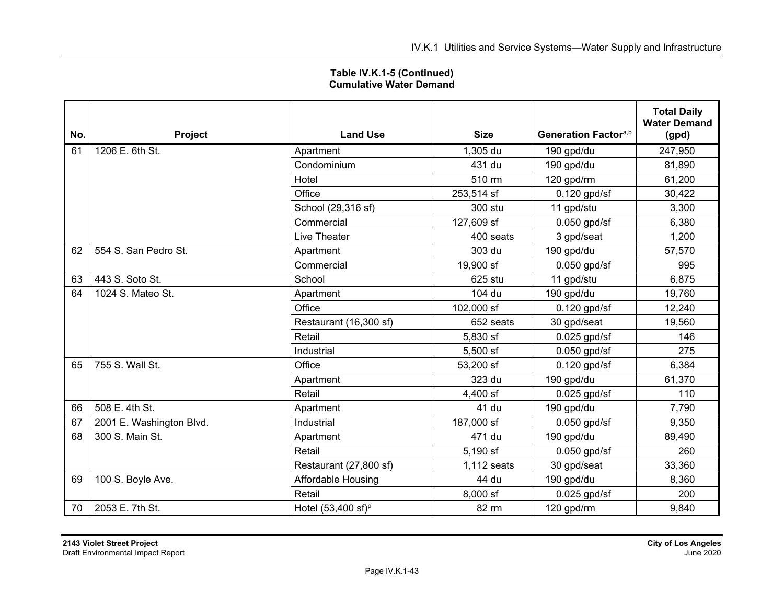| Table IV.K.1-5 (Continued)     |  |
|--------------------------------|--|
| <b>Cumulative Water Demand</b> |  |

| No. | Project                  | <b>Land Use</b>               | <b>Size</b> | Generation Factora,b | <b>Total Daily</b><br><b>Water Demand</b><br>(gpd) |
|-----|--------------------------|-------------------------------|-------------|----------------------|----------------------------------------------------|
| 61  | 1206 E. 6th St.          | Apartment                     | 1,305 du    | 190 gpd/du           | 247,950                                            |
|     |                          | Condominium                   | 431 du      | 190 gpd/du           | 81,890                                             |
|     |                          | Hotel                         | 510 rm      | 120 gpd/rm           | 61,200                                             |
|     |                          | Office                        | 253,514 sf  | $0.120$ gpd/sf       | 30,422                                             |
|     |                          | School (29,316 sf)            | 300 stu     | 11 gpd/stu           | 3,300                                              |
|     |                          | Commercial                    | 127,609 sf  | $0.050$ gpd/sf       | 6,380                                              |
|     |                          | Live Theater                  | 400 seats   | 3 gpd/seat           | 1,200                                              |
| 62  | 554 S. San Pedro St.     | Apartment                     | 303 du      | 190 gpd/du           | 57,570                                             |
|     |                          | Commercial                    | 19,900 sf   | $0.050$ gpd/sf       | 995                                                |
| 63  | 443 S. Soto St.          | School                        | 625 stu     | 11 gpd/stu           | 6,875                                              |
| 64  | 1024 S. Mateo St.        | Apartment                     | 104 du      | 190 gpd/du           | 19,760                                             |
|     |                          | Office                        | 102,000 sf  | $0.120$ gpd/sf       | 12,240                                             |
|     |                          | Restaurant (16,300 sf)        | 652 seats   | 30 gpd/seat          | 19,560                                             |
|     |                          | Retail                        | 5,830 sf    | $0.025$ gpd/sf       | 146                                                |
|     |                          | Industrial                    | 5,500 sf    | $0.050$ gpd/sf       | 275                                                |
| 65  | 755 S. Wall St.          | Office                        | 53,200 sf   | $0.120$ gpd/sf       | 6,384                                              |
|     |                          | Apartment                     | 323 du      | 190 gpd/du           | 61,370                                             |
|     |                          | Retail                        | 4,400 sf    | $0.025$ gpd/sf       | 110                                                |
| 66  | 508 E. 4th St.           | Apartment                     | 41 du       | 190 gpd/du           | 7,790                                              |
| 67  | 2001 E. Washington Blvd. | Industrial                    | 187,000 sf  | $0.050$ gpd/sf       | 9,350                                              |
| 68  | 300 S. Main St.          | Apartment                     | 471 du      | 190 gpd/du           | 89,490                                             |
|     |                          | Retail                        | 5,190 sf    | $0.050$ gpd/sf       | 260                                                |
|     |                          | Restaurant (27,800 sf)        | 1,112 seats | 30 gpd/seat          | 33,360                                             |
| 69  | 100 S. Boyle Ave.        | Affordable Housing            | 44 du       | 190 gpd/du           | 8,360                                              |
|     |                          | Retail                        | 8,000 sf    | $0.025$ gpd/sf       | 200                                                |
| 70  | 2053 E. 7th St.          | Hotel $(53,400 \text{ sf})^p$ | 82 rm       | 120 gpd/rm           | 9,840                                              |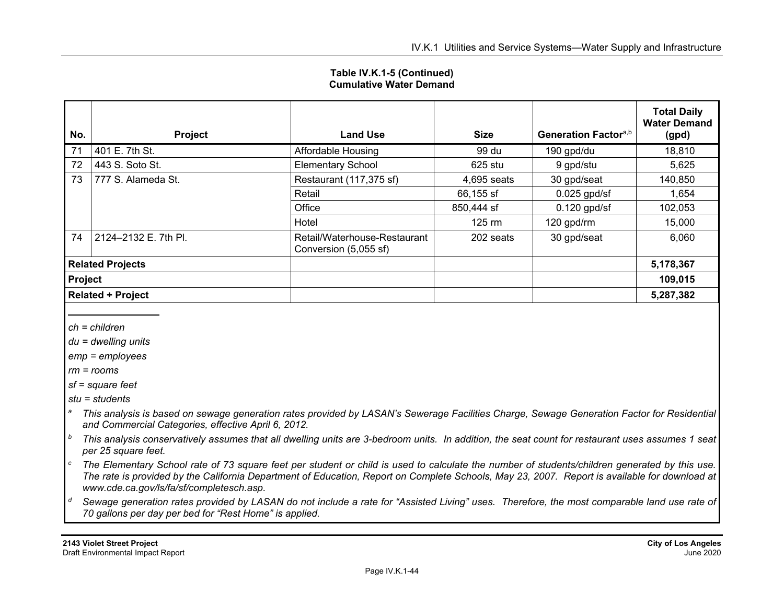| No.                      | Project              | <b>Land Use</b>                                       | <b>Size</b>              | Generation Factora,b | <b>Total Daily</b><br><b>Water Demand</b><br>(gpd) |
|--------------------------|----------------------|-------------------------------------------------------|--------------------------|----------------------|----------------------------------------------------|
| 71                       | 401 E. 7th St.       | Affordable Housing                                    | 99 du                    | 190 gpd/du           | 18,810                                             |
| 72                       | 443 S. Soto St.      | <b>Elementary School</b>                              | 625 stu                  | 9 gpd/stu            | 5,625                                              |
| 73                       | 777 S. Alameda St.   | Restaurant (117,375 sf)                               | 4,695 seats              | 30 gpd/seat          | 140,850                                            |
|                          |                      | Retail                                                | 66,155 sf                | $0.025$ gpd/sf       | 1,654                                              |
|                          |                      | Office                                                | 850,444 sf               | $0.120$ gpd/sf       | 102,053                                            |
|                          |                      | Hotel                                                 | $125 \text{ } \text{rm}$ | 120 gpd/rm           | 15,000                                             |
| 74                       | 2124-2132 E. 7th Pl. | Retail/Waterhouse-Restaurant<br>Conversion (5,055 sf) | 202 seats                | 30 gpd/seat          | 6,060                                              |
| <b>Related Projects</b>  |                      |                                                       |                          |                      | 5,178,367                                          |
| Project                  |                      |                                                       |                          |                      | 109,015                                            |
| <b>Related + Project</b> |                      |                                                       |                          |                      | 5,287,382                                          |

*ch = children* 

*du = dwelling units* 

*emp = employees* 

*rm = rooms* 

*sf = square feet* 

*stu = students* 

- *a This analysis is based on sewage generation rates provided by LASAN's Sewerage Facilities Charge, Sewage Generation Factor for Residential and Commercial Categories, effective April 6, 2012.*
- *b This analysis conservatively assumes that all dwelling units are 3-bedroom units. In addition, the seat count for restaurant uses assumes 1 seat per 25 square feet.*
- *c The Elementary School rate of 73 square feet per student or child is used to calculate the number of students/children generated by this use. The rate is provided by the California Department of Education, Report on Complete Schools, May 23, 2007. Report is available for download at www.cde.ca.gov/ls/fa/sf/completesch.asp.*
- *d Sewage generation rates provided by LASAN do not include a rate for "Assisted Living" uses. Therefore, the most comparable land use rate of 70 gallons per day per bed for "Rest Home" is applied.*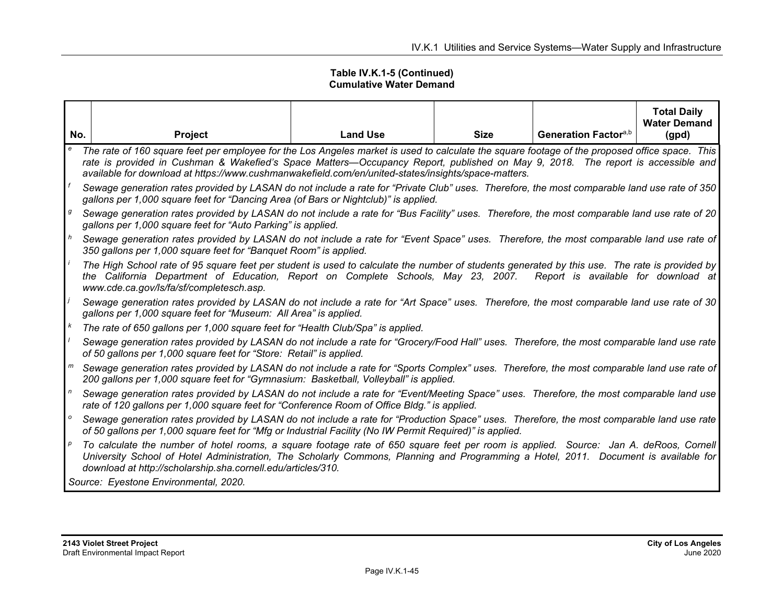|                                            |                                                                                                                                                                                                                                                                                                                                                                                          |                 |             |                                  | <b>Total Daily</b><br><b>Water Demand</b> |  |
|--------------------------------------------|------------------------------------------------------------------------------------------------------------------------------------------------------------------------------------------------------------------------------------------------------------------------------------------------------------------------------------------------------------------------------------------|-----------------|-------------|----------------------------------|-------------------------------------------|--|
| No.                                        | <b>Project</b>                                                                                                                                                                                                                                                                                                                                                                           | <b>Land Use</b> | <b>Size</b> | Generation Factor <sup>a,b</sup> | (gpd)                                     |  |
| $\mathbf{e}% _{0}\left( \mathbf{1}\right)$ | The rate of 160 square feet per employee for the Los Angeles market is used to calculate the square footage of the proposed office space. This<br>rate is provided in Cushman & Wakefied's Space Matters—Occupancy Report, published on May 9, 2018. The report is accessible and<br>available for download at https://www.cushmanwakefield.com/en/united-states/insights/space-matters. |                 |             |                                  |                                           |  |
|                                            | Sewage generation rates provided by LASAN do not include a rate for "Private Club" uses. Therefore, the most comparable land use rate of 350<br>gallons per 1,000 square feet for "Dancing Area (of Bars or Nightclub)" is applied.                                                                                                                                                      |                 |             |                                  |                                           |  |
| g                                          | Sewage generation rates provided by LASAN do not include a rate for "Bus Facility" uses. Therefore, the most comparable land use rate of 20<br>gallons per 1,000 square feet for "Auto Parking" is applied.                                                                                                                                                                              |                 |             |                                  |                                           |  |
| h                                          | Sewage generation rates provided by LASAN do not include a rate for "Event Space" uses. Therefore, the most comparable land use rate of<br>350 gallons per 1,000 square feet for "Banquet Room" is applied.                                                                                                                                                                              |                 |             |                                  |                                           |  |
|                                            | The High School rate of 95 square feet per student is used to calculate the number of students generated by this use. The rate is provided by<br>the California Department of Education, Report on Complete Schools, May 23, 2007. Report is available for download at<br>www.cde.ca.gov/ls/fa/sf/completesch.asp.                                                                       |                 |             |                                  |                                           |  |
|                                            | Sewage generation rates provided by LASAN do not include a rate for "Art Space" uses. Therefore, the most comparable land use rate of 30<br>gallons per 1,000 square feet for "Museum: All Area" is applied.                                                                                                                                                                             |                 |             |                                  |                                           |  |
| $\kappa$                                   | The rate of 650 gallons per 1,000 square feet for "Health Club/Spa" is applied.                                                                                                                                                                                                                                                                                                          |                 |             |                                  |                                           |  |
|                                            | Sewage generation rates provided by LASAN do not include a rate for "Grocery/Food Hall" uses. Therefore, the most comparable land use rate<br>of 50 gallons per 1,000 square feet for "Store: Retail" is applied.                                                                                                                                                                        |                 |             |                                  |                                           |  |
|                                            | Sewage generation rates provided by LASAN do not include a rate for "Sports Complex" uses. Therefore, the most comparable land use rate of<br>200 gallons per 1,000 square feet for "Gymnasium: Basketball, Volleyball" is applied.                                                                                                                                                      |                 |             |                                  |                                           |  |
| $\mathsf{n}$                               | Sewage generation rates provided by LASAN do not include a rate for "Event/Meeting Space" uses. Therefore, the most comparable land use<br>rate of 120 gallons per 1,000 square feet for "Conference Room of Office Bldg." is applied.                                                                                                                                                   |                 |             |                                  |                                           |  |
| $\mathsf{o}$                               | Sewage generation rates provided by LASAN do not include a rate for "Production Space" uses. Therefore, the most comparable land use rate<br>of 50 gallons per 1,000 square feet for "Mfg or Industrial Facility (No IW Permit Required)" is applied.                                                                                                                                    |                 |             |                                  |                                           |  |
| р                                          | To calculate the number of hotel rooms, a square footage rate of 650 square feet per room is applied. Source: Jan A. deRoos, Cornell<br>University School of Hotel Administration, The Scholarly Commons, Planning and Programming a Hotel, 2011. Document is available for<br>download at http://scholarship.sha.cornell.edu/articles/310.                                              |                 |             |                                  |                                           |  |
|                                            | Source: Eyestone Environmental, 2020.                                                                                                                                                                                                                                                                                                                                                    |                 |             |                                  |                                           |  |